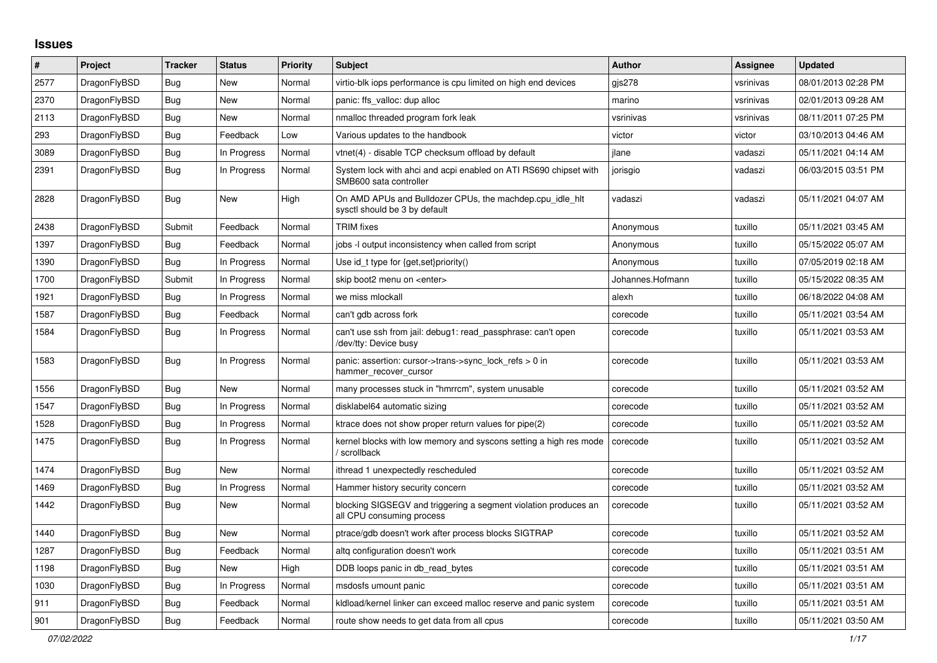## **Issues**

| $\vert$ # | Project      | <b>Tracker</b> | <b>Status</b> | <b>Priority</b> | <b>Subject</b>                                                                               | <b>Author</b>    | <b>Assignee</b> | <b>Updated</b>      |
|-----------|--------------|----------------|---------------|-----------------|----------------------------------------------------------------------------------------------|------------------|-----------------|---------------------|
| 2577      | DragonFlyBSD | Bug            | New           | Normal          | virtio-blk iops performance is cpu limited on high end devices                               | gis278           | vsrinivas       | 08/01/2013 02:28 PM |
| 2370      | DragonFlyBSD | Bug            | New           | Normal          | panic: ffs valloc: dup alloc                                                                 | marino           | vsrinivas       | 02/01/2013 09:28 AM |
| 2113      | DragonFlyBSD | <b>Bug</b>     | New           | Normal          | nmalloc threaded program fork leak                                                           | vsrinivas        | vsrinivas       | 08/11/2011 07:25 PM |
| 293       | DragonFlyBSD | Bug            | Feedback      | Low             | Various updates to the handbook                                                              | victor           | victor          | 03/10/2013 04:46 AM |
| 3089      | DragonFlyBSD | <b>Bug</b>     | In Progress   | Normal          | vtnet(4) - disable TCP checksum offload by default                                           | jlane            | vadaszi         | 05/11/2021 04:14 AM |
| 2391      | DragonFlyBSD | <b>Bug</b>     | In Progress   | Normal          | System lock with ahci and acpi enabled on ATI RS690 chipset with<br>SMB600 sata controller   | jorisgio         | vadaszi         | 06/03/2015 03:51 PM |
| 2828      | DragonFlyBSD | <b>Bug</b>     | New           | High            | On AMD APUs and Bulldozer CPUs, the machdep.cpu idle hit<br>sysctl should be 3 by default    | vadaszi          | vadaszi         | 05/11/2021 04:07 AM |
| 2438      | DragonFlyBSD | Submit         | Feedback      | Normal          | <b>TRIM</b> fixes                                                                            | Anonymous        | tuxillo         | 05/11/2021 03:45 AM |
| 1397      | DragonFlyBSD | Bug            | Feedback      | Normal          | jobs -I output inconsistency when called from script                                         | Anonymous        | tuxillo         | 05/15/2022 05:07 AM |
| 1390      | DragonFlyBSD | <b>Bug</b>     | In Progress   | Normal          | Use id_t type for {get, set}priority()                                                       | Anonymous        | tuxillo         | 07/05/2019 02:18 AM |
| 1700      | DragonFlyBSD | Submit         | In Progress   | Normal          | skip boot2 menu on <enter></enter>                                                           | Johannes.Hofmann | tuxillo         | 05/15/2022 08:35 AM |
| 1921      | DragonFlyBSD | <b>Bug</b>     | In Progress   | Normal          | we miss mlockall                                                                             | alexh            | tuxillo         | 06/18/2022 04:08 AM |
| 1587      | DragonFlyBSD | Bug            | Feedback      | Normal          | can't gdb across fork                                                                        | corecode         | tuxillo         | 05/11/2021 03:54 AM |
| 1584      | DragonFlyBSD | Bug            | In Progress   | Normal          | can't use ssh from jail: debug1: read_passphrase: can't open<br>/dev/tty: Device busy        | corecode         | tuxillo         | 05/11/2021 03:53 AM |
| 1583      | DragonFlyBSD | Bug            | In Progress   | Normal          | panic: assertion: cursor->trans->sync_lock_refs > 0 in<br>hammer_recover_cursor              | corecode         | tuxillo         | 05/11/2021 03:53 AM |
| 1556      | DragonFlyBSD | Bug            | New           | Normal          | many processes stuck in "hmrrcm", system unusable                                            | corecode         | tuxillo         | 05/11/2021 03:52 AM |
| 1547      | DragonFlyBSD | Bug            | In Progress   | Normal          | disklabel64 automatic sizing                                                                 | corecode         | tuxillo         | 05/11/2021 03:52 AM |
| 1528      | DragonFlyBSD | <b>Bug</b>     | In Progress   | Normal          | ktrace does not show proper return values for pipe(2)                                        | corecode         | tuxillo         | 05/11/2021 03:52 AM |
| 1475      | DragonFlyBSD | Bug            | In Progress   | Normal          | kernel blocks with low memory and syscons setting a high res mode<br>/ scrollback            | corecode         | tuxillo         | 05/11/2021 03:52 AM |
| 1474      | DragonFlyBSD | <b>Bug</b>     | <b>New</b>    | Normal          | ithread 1 unexpectedly rescheduled                                                           | corecode         | tuxillo         | 05/11/2021 03:52 AM |
| 1469      | DragonFlyBSD | Bug            | In Progress   | Normal          | Hammer history security concern                                                              | corecode         | tuxillo         | 05/11/2021 03:52 AM |
| 1442      | DragonFlyBSD | Bug            | New           | Normal          | blocking SIGSEGV and triggering a segment violation produces an<br>all CPU consuming process | corecode         | tuxillo         | 05/11/2021 03:52 AM |
| 1440      | DragonFlyBSD | <b>Bug</b>     | New           | Normal          | ptrace/gdb doesn't work after process blocks SIGTRAP                                         | corecode         | tuxillo         | 05/11/2021 03:52 AM |
| 1287      | DragonFlyBSD | Bug            | Feedback      | Normal          | altg configuration doesn't work                                                              | corecode         | tuxillo         | 05/11/2021 03:51 AM |
| 1198      | DragonFlyBSD | <b>Bug</b>     | New           | High            | DDB loops panic in db_read_bytes                                                             | corecode         | tuxillo         | 05/11/2021 03:51 AM |
| 1030      | DragonFlyBSD | Bug            | In Progress   | Normal          | msdosfs umount panic                                                                         | corecode         | tuxillo         | 05/11/2021 03:51 AM |
| 911       | DragonFlyBSD | Bug            | Feedback      | Normal          | kldload/kernel linker can exceed malloc reserve and panic system                             | corecode         | tuxillo         | 05/11/2021 03:51 AM |
| 901       | DragonFlyBSD | Bug            | Feedback      | Normal          | route show needs to get data from all cpus                                                   | corecode         | tuxillo         | 05/11/2021 03:50 AM |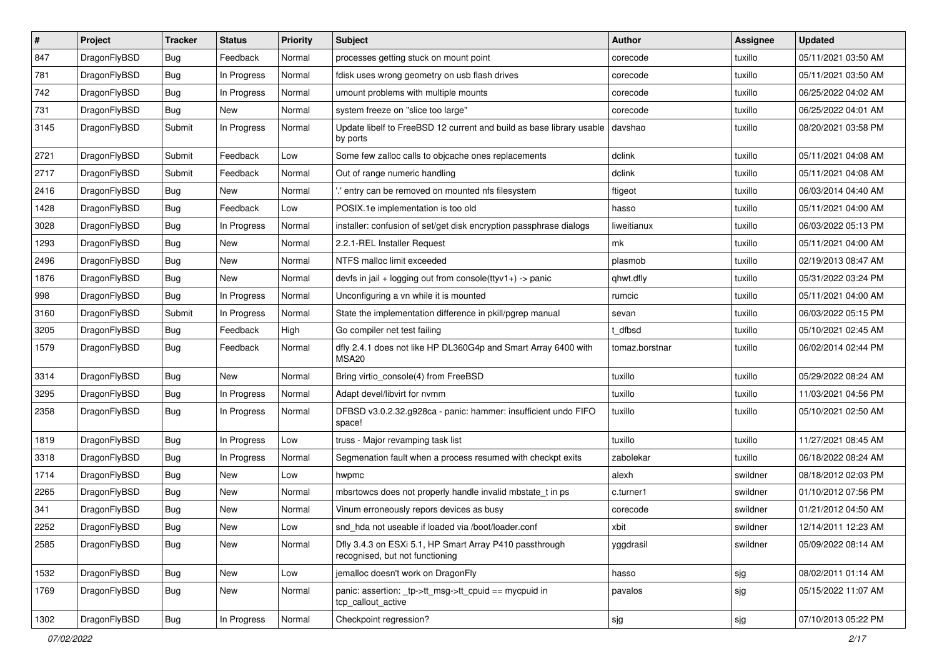| #    | Project      | <b>Tracker</b> | <b>Status</b> | <b>Priority</b> | <b>Subject</b>                                                                             | <b>Author</b>  | <b>Assignee</b> | <b>Updated</b>      |
|------|--------------|----------------|---------------|-----------------|--------------------------------------------------------------------------------------------|----------------|-----------------|---------------------|
| 847  | DragonFlyBSD | <b>Bug</b>     | Feedback      | Normal          | processes getting stuck on mount point                                                     | corecode       | tuxillo         | 05/11/2021 03:50 AM |
| 781  | DragonFlyBSD | <b>Bug</b>     | In Progress   | Normal          | fdisk uses wrong geometry on usb flash drives                                              | corecode       | tuxillo         | 05/11/2021 03:50 AM |
| 742  | DragonFlyBSD | Bug            | In Progress   | Normal          | umount problems with multiple mounts                                                       | corecode       | tuxillo         | 06/25/2022 04:02 AM |
| 731  | DragonFlyBSD | Bug            | New           | Normal          | system freeze on "slice too large"                                                         | corecode       | tuxillo         | 06/25/2022 04:01 AM |
| 3145 | DragonFlyBSD | Submit         | In Progress   | Normal          | Update libelf to FreeBSD 12 current and build as base library usable<br>by ports           | davshao        | tuxillo         | 08/20/2021 03:58 PM |
| 2721 | DragonFlyBSD | Submit         | Feedback      | Low             | Some few zalloc calls to objcache ones replacements                                        | dclink         | tuxillo         | 05/11/2021 04:08 AM |
| 2717 | DragonFlyBSD | Submit         | Feedback      | Normal          | Out of range numeric handling                                                              | dclink         | tuxillo         | 05/11/2021 04:08 AM |
| 2416 | DragonFlyBSD | <b>Bug</b>     | <b>New</b>    | Normal          | ' entry can be removed on mounted nfs filesystem                                           | ftigeot        | tuxillo         | 06/03/2014 04:40 AM |
| 1428 | DragonFlyBSD | <b>Bug</b>     | Feedback      | Low             | POSIX.1e implementation is too old                                                         | hasso          | tuxillo         | 05/11/2021 04:00 AM |
| 3028 | DragonFlyBSD | Bug            | In Progress   | Normal          | installer: confusion of set/get disk encryption passphrase dialogs                         | liweitianux    | tuxillo         | 06/03/2022 05:13 PM |
| 1293 | DragonFlyBSD | Bug            | <b>New</b>    | Normal          | 2.2.1-REL Installer Request                                                                | mk             | tuxillo         | 05/11/2021 04:00 AM |
| 2496 | DragonFlyBSD | Bug            | <b>New</b>    | Normal          | NTFS malloc limit exceeded                                                                 | plasmob        | tuxillo         | 02/19/2013 08:47 AM |
| 1876 | DragonFlyBSD | <b>Bug</b>     | <b>New</b>    | Normal          | devfs in jail + logging out from console(ttyv1+) -> panic                                  | qhwt.dfly      | tuxillo         | 05/31/2022 03:24 PM |
| 998  | DragonFlyBSD | <b>Bug</b>     | In Progress   | Normal          | Unconfiguring a vn while it is mounted                                                     | rumcic         | tuxillo         | 05/11/2021 04:00 AM |
| 3160 | DragonFlyBSD | Submit         | In Progress   | Normal          | State the implementation difference in pkill/pgrep manual                                  | sevan          | tuxillo         | 06/03/2022 05:15 PM |
| 3205 | DragonFlyBSD | <b>Bug</b>     | Feedback      | High            | Go compiler net test failing                                                               | dfbsd          | tuxillo         | 05/10/2021 02:45 AM |
| 1579 | DragonFlyBSD | <b>Bug</b>     | Feedback      | Normal          | dfly 2.4.1 does not like HP DL360G4p and Smart Array 6400 with<br>MSA20                    | tomaz.borstnar | tuxillo         | 06/02/2014 02:44 PM |
| 3314 | DragonFlyBSD | Bug            | <b>New</b>    | Normal          | Bring virtio_console(4) from FreeBSD                                                       | tuxillo        | tuxillo         | 05/29/2022 08:24 AM |
| 3295 | DragonFlyBSD | <b>Bug</b>     | In Progress   | Normal          | Adapt devel/libvirt for nvmm                                                               | tuxillo        | tuxillo         | 11/03/2021 04:56 PM |
| 2358 | DragonFlyBSD | Bug            | In Progress   | Normal          | DFBSD v3.0.2.32.g928ca - panic: hammer: insufficient undo FIFO<br>space!                   | tuxillo        | tuxillo         | 05/10/2021 02:50 AM |
| 1819 | DragonFlyBSD | <b>Bug</b>     | In Progress   | Low             | truss - Major revamping task list                                                          | tuxillo        | tuxillo         | 11/27/2021 08:45 AM |
| 3318 | DragonFlyBSD | Bug            | In Progress   | Normal          | Segmenation fault when a process resumed with checkpt exits                                | zabolekar      | tuxillo         | 06/18/2022 08:24 AM |
| 1714 | DragonFlyBSD | <b>Bug</b>     | <b>New</b>    | Low             | hwpmc                                                                                      | alexh          | swildner        | 08/18/2012 02:03 PM |
| 2265 | DragonFlyBSD | <b>Bug</b>     | New           | Normal          | mbsrtowcs does not properly handle invalid mbstate_t in ps                                 | c.turner1      | swildner        | 01/10/2012 07:56 PM |
| 341  | DragonFlyBSD | Bug            | <b>New</b>    | Normal          | Vinum erroneously repors devices as busy                                                   | corecode       | swildner        | 01/21/2012 04:50 AM |
| 2252 | DragonFlyBSD | Bug            | New           | Low             | snd_hda not useable if loaded via /boot/loader.conf                                        | xbit           | swildner        | 12/14/2011 12:23 AM |
| 2585 | DragonFlyBSD | Bug            | New           | Normal          | Dfly 3.4.3 on ESXi 5.1, HP Smart Array P410 passthrough<br>recognised, but not functioning | yggdrasil      | swildner        | 05/09/2022 08:14 AM |
| 1532 | DragonFlyBSD | <b>Bug</b>     | New           | Low             | jemalloc doesn't work on DragonFly                                                         | hasso          | sjg             | 08/02/2011 01:14 AM |
| 1769 | DragonFlyBSD | Bug            | New           | Normal          | panic: assertion: tp->tt_msg->tt_cpuid == mycpuid in<br>tcp_callout_active                 | pavalos        | sjg             | 05/15/2022 11:07 AM |
| 1302 | DragonFlyBSD | <b>Bug</b>     | In Progress   | Normal          | Checkpoint regression?                                                                     | sjg            | sjg             | 07/10/2013 05:22 PM |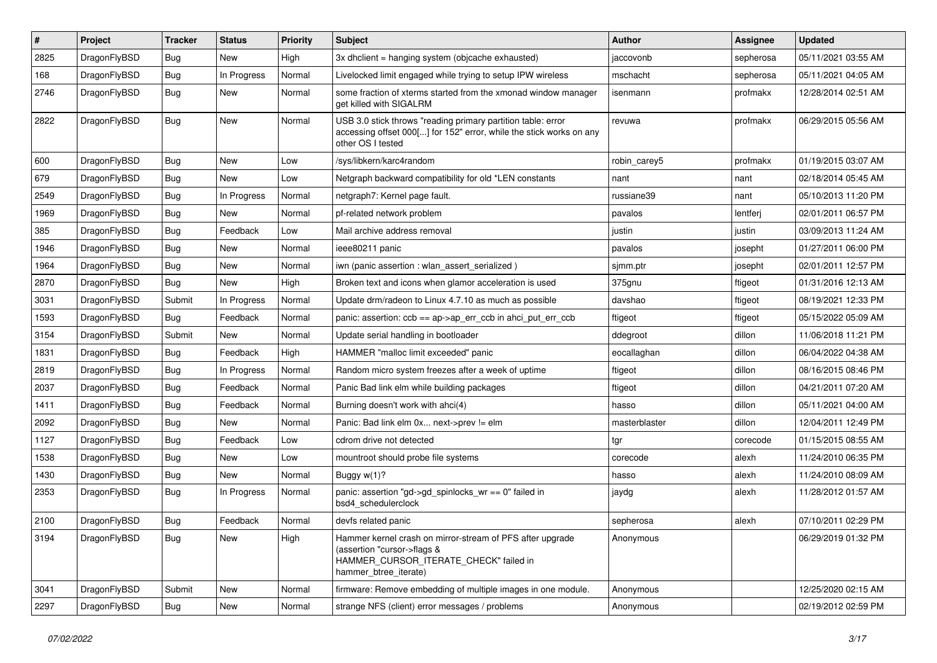| ∦    | Project      | <b>Tracker</b> | <b>Status</b> | <b>Priority</b> | <b>Subject</b>                                                                                                                                              | <b>Author</b> | <b>Assignee</b> | <b>Updated</b>      |
|------|--------------|----------------|---------------|-----------------|-------------------------------------------------------------------------------------------------------------------------------------------------------------|---------------|-----------------|---------------------|
| 2825 | DragonFlyBSD | <b>Bug</b>     | <b>New</b>    | High            | 3x dhclient = hanging system (objcache exhausted)                                                                                                           | iaccovonb     | sepherosa       | 05/11/2021 03:55 AM |
| 168  | DragonFlyBSD | Bug            | In Progress   | Normal          | Livelocked limit engaged while trying to setup IPW wireless                                                                                                 | mschacht      | sepherosa       | 05/11/2021 04:05 AM |
| 2746 | DragonFlyBSD | <b>Bug</b>     | New           | Normal          | some fraction of xterms started from the xmonad window manager<br>get killed with SIGALRM                                                                   | isenmann      | profmakx        | 12/28/2014 02:51 AM |
| 2822 | DragonFlyBSD | <b>Bug</b>     | New           | Normal          | USB 3.0 stick throws "reading primary partition table: error<br>accessing offset 000[] for 152" error, while the stick works on any<br>other OS I tested    | revuwa        | profmakx        | 06/29/2015 05:56 AM |
| 600  | DragonFlyBSD | Bug            | New           | Low             | /sys/libkern/karc4random                                                                                                                                    | robin carey5  | profmakx        | 01/19/2015 03:07 AM |
| 679  | DragonFlyBSD | <b>Bug</b>     | New           | Low             | Netgraph backward compatibility for old *LEN constants                                                                                                      | nant          | nant            | 02/18/2014 05:45 AM |
| 2549 | DragonFlyBSD | Bug            | In Progress   | Normal          | netgraph7: Kernel page fault.                                                                                                                               | russiane39    | nant            | 05/10/2013 11:20 PM |
| 1969 | DragonFlyBSD | <b>Bug</b>     | New           | Normal          | pf-related network problem                                                                                                                                  | pavalos       | lentferj        | 02/01/2011 06:57 PM |
| 385  | DragonFlyBSD | <b>Bug</b>     | Feedback      | Low             | Mail archive address removal                                                                                                                                | justin        | justin          | 03/09/2013 11:24 AM |
| 1946 | DragonFlyBSD | <b>Bug</b>     | New           | Normal          | ieee80211 panic                                                                                                                                             | pavalos       | josepht         | 01/27/2011 06:00 PM |
| 1964 | DragonFlyBSD | <b>Bug</b>     | <b>New</b>    | Normal          | iwn (panic assertion : wlan assert serialized)                                                                                                              | sjmm.ptr      | josepht         | 02/01/2011 12:57 PM |
| 2870 | DragonFlyBSD | <b>Bug</b>     | <b>New</b>    | High            | Broken text and icons when glamor acceleration is used                                                                                                      | 375gnu        | ftigeot         | 01/31/2016 12:13 AM |
| 3031 | DragonFlyBSD | Submit         | In Progress   | Normal          | Update drm/radeon to Linux 4.7.10 as much as possible                                                                                                       | davshao       | ftigeot         | 08/19/2021 12:33 PM |
| 1593 | DragonFlyBSD | Bug            | Feedback      | Normal          | panic: assertion: $ccb = ap > ap$ err $ccb$ in ahci put err $ccb$                                                                                           | ftigeot       | ftigeot         | 05/15/2022 05:09 AM |
| 3154 | DragonFlyBSD | Submit         | <b>New</b>    | Normal          | Update serial handling in bootloader                                                                                                                        | ddegroot      | dillon          | 11/06/2018 11:21 PM |
| 1831 | DragonFlyBSD | <b>Bug</b>     | Feedback      | High            | HAMMER "malloc limit exceeded" panic                                                                                                                        | eocallaghan   | dillon          | 06/04/2022 04:38 AM |
| 2819 | DragonFlyBSD | <b>Bug</b>     | In Progress   | Normal          | Random micro system freezes after a week of uptime                                                                                                          | ftigeot       | dillon          | 08/16/2015 08:46 PM |
| 2037 | DragonFlyBSD | Bug            | Feedback      | Normal          | Panic Bad link elm while building packages                                                                                                                  | ftigeot       | dillon          | 04/21/2011 07:20 AM |
| 1411 | DragonFlyBSD | <b>Bug</b>     | Feedback      | Normal          | Burning doesn't work with ahci(4)                                                                                                                           | hasso         | dillon          | 05/11/2021 04:00 AM |
| 2092 | DragonFlyBSD | Bug            | New           | Normal          | Panic: Bad link elm 0x next->prev != elm                                                                                                                    | masterblaster | dillon          | 12/04/2011 12:49 PM |
| 1127 | DragonFlyBSD | <b>Bug</b>     | Feedback      | Low             | cdrom drive not detected                                                                                                                                    | tgr           | corecode        | 01/15/2015 08:55 AM |
| 1538 | DragonFlyBSD | <b>Bug</b>     | New           | Low             | mountroot should probe file systems                                                                                                                         | corecode      | alexh           | 11/24/2010 06:35 PM |
| 1430 | DragonFlyBSD | <b>Bug</b>     | New           | Normal          | Buggy w(1)?                                                                                                                                                 | hasso         | alexh           | 11/24/2010 08:09 AM |
| 2353 | DragonFlyBSD | <b>Bug</b>     | In Progress   | Normal          | panic: assertion "gd->gd_spinlocks_wr == 0" failed in<br>bsd4 schedulerclock                                                                                | jaydg         | alexh           | 11/28/2012 01:57 AM |
| 2100 | DragonFlyBSD | Bug            | Feedback      | Normal          | devfs related panic                                                                                                                                         | sepherosa     | alexh           | 07/10/2011 02:29 PM |
| 3194 | DragonFlyBSD | <b>Bug</b>     | <b>New</b>    | High            | Hammer kernel crash on mirror-stream of PFS after upgrade<br>(assertion "cursor->flags &<br>HAMMER_CURSOR_ITERATE_CHECK" failed in<br>hammer_btree_iterate) | Anonymous     |                 | 06/29/2019 01:32 PM |
| 3041 | DragonFlyBSD | Submit         | <b>New</b>    | Normal          | firmware: Remove embedding of multiple images in one module.                                                                                                | Anonymous     |                 | 12/25/2020 02:15 AM |
| 2297 | DragonFlyBSD | <b>Bug</b>     | New           | Normal          | strange NFS (client) error messages / problems                                                                                                              | Anonymous     |                 | 02/19/2012 02:59 PM |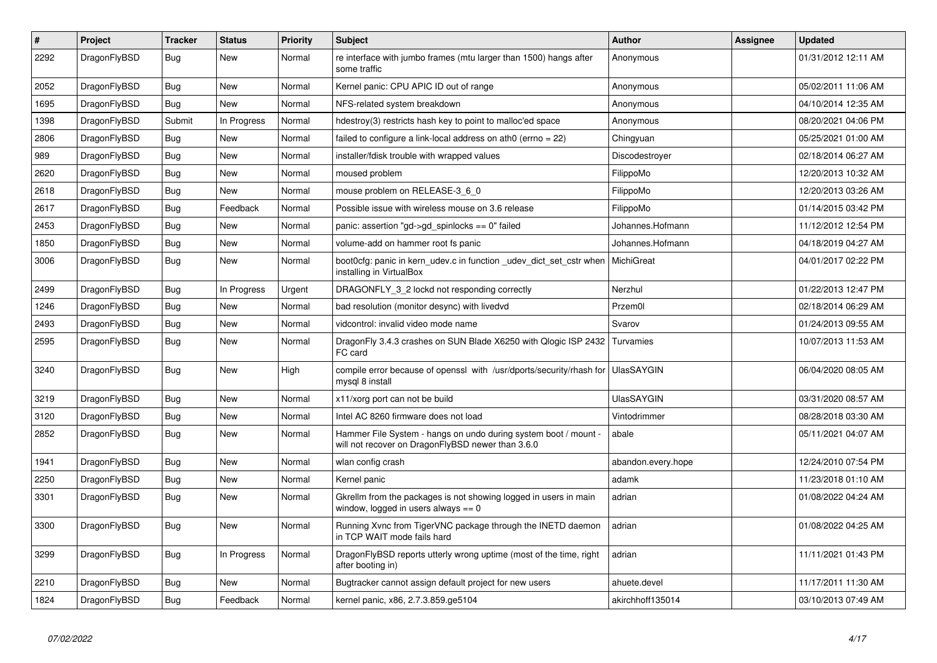| $\vert$ # | Project      | <b>Tracker</b> | <b>Status</b> | <b>Priority</b> | <b>Subject</b>                                                                                                       | <b>Author</b>      | Assignee | <b>Updated</b>      |
|-----------|--------------|----------------|---------------|-----------------|----------------------------------------------------------------------------------------------------------------------|--------------------|----------|---------------------|
| 2292      | DragonFlyBSD | Bug            | <b>New</b>    | Normal          | re interface with jumbo frames (mtu larger than 1500) hangs after<br>some traffic                                    | Anonymous          |          | 01/31/2012 12:11 AM |
| 2052      | DragonFlyBSD | Bug            | <b>New</b>    | Normal          | Kernel panic: CPU APIC ID out of range                                                                               | Anonymous          |          | 05/02/2011 11:06 AM |
| 1695      | DragonFlyBSD | Bug            | New           | Normal          | NFS-related system breakdown                                                                                         | Anonymous          |          | 04/10/2014 12:35 AM |
| 1398      | DragonFlyBSD | Submit         | In Progress   | Normal          | hdestroy(3) restricts hash key to point to malloc'ed space                                                           | Anonymous          |          | 08/20/2021 04:06 PM |
| 2806      | DragonFlyBSD | Bug            | New           | Normal          | failed to configure a link-local address on ath0 (errno = 22)                                                        | Chingyuan          |          | 05/25/2021 01:00 AM |
| 989       | DragonFlyBSD | <b>Bug</b>     | New           | Normal          | installer/fdisk trouble with wrapped values                                                                          | Discodestroyer     |          | 02/18/2014 06:27 AM |
| 2620      | DragonFlyBSD | Bug            | New           | Normal          | moused problem                                                                                                       | FilippoMo          |          | 12/20/2013 10:32 AM |
| 2618      | DragonFlyBSD | <b>Bug</b>     | <b>New</b>    | Normal          | mouse problem on RELEASE-3_6_0                                                                                       | FilippoMo          |          | 12/20/2013 03:26 AM |
| 2617      | DragonFlyBSD | <b>Bug</b>     | Feedback      | Normal          | Possible issue with wireless mouse on 3.6 release                                                                    | FilippoMo          |          | 01/14/2015 03:42 PM |
| 2453      | DragonFlyBSD | Bug            | <b>New</b>    | Normal          | panic: assertion "gd->gd spinlocks == $0$ " failed                                                                   | Johannes.Hofmann   |          | 11/12/2012 12:54 PM |
| 1850      | DragonFlyBSD | <b>Bug</b>     | <b>New</b>    | Normal          | volume-add on hammer root fs panic                                                                                   | Johannes.Hofmann   |          | 04/18/2019 04:27 AM |
| 3006      | DragonFlyBSD | <b>Bug</b>     | <b>New</b>    | Normal          | boot0cfg: panic in kern_udev.c in function _udev_dict_set_cstr when<br>installing in VirtualBox                      | MichiGreat         |          | 04/01/2017 02:22 PM |
| 2499      | DragonFlyBSD | <b>Bug</b>     | In Progress   | Urgent          | DRAGONFLY 3 2 lockd not responding correctly                                                                         | Nerzhul            |          | 01/22/2013 12:47 PM |
| 1246      | DragonFlyBSD | <b>Bug</b>     | <b>New</b>    | Normal          | bad resolution (monitor desync) with livedvd                                                                         | Przem0l            |          | 02/18/2014 06:29 AM |
| 2493      | DragonFlyBSD | <b>Bug</b>     | <b>New</b>    | Normal          | vidcontrol: invalid video mode name                                                                                  | Svarov             |          | 01/24/2013 09:55 AM |
| 2595      | DragonFlyBSD | <b>Bug</b>     | <b>New</b>    | Normal          | DragonFly 3.4.3 crashes on SUN Blade X6250 with Qlogic ISP 2432<br>FC card                                           | Turvamies          |          | 10/07/2013 11:53 AM |
| 3240      | DragonFlyBSD | <b>Bug</b>     | <b>New</b>    | High            | compile error because of openssl with /usr/dports/security/rhash for<br>mysql 8 install                              | <b>UlasSAYGIN</b>  |          | 06/04/2020 08:05 AM |
| 3219      | DragonFlyBSD | Bug            | New           | Normal          | x11/xorg port can not be build                                                                                       | <b>UlasSAYGIN</b>  |          | 03/31/2020 08:57 AM |
| 3120      | DragonFlyBSD | <b>Bug</b>     | New           | Normal          | Intel AC 8260 firmware does not load                                                                                 | Vintodrimmer       |          | 08/28/2018 03:30 AM |
| 2852      | DragonFlyBSD | Bug            | <b>New</b>    | Normal          | Hammer File System - hangs on undo during system boot / mount -<br>will not recover on DragonFlyBSD newer than 3.6.0 | abale              |          | 05/11/2021 04:07 AM |
| 1941      | DragonFlyBSD | <b>Bug</b>     | <b>New</b>    | Normal          | wlan config crash                                                                                                    | abandon.every.hope |          | 12/24/2010 07:54 PM |
| 2250      | DragonFlyBSD | Bug            | <b>New</b>    | Normal          | Kernel panic                                                                                                         | adamk              |          | 11/23/2018 01:10 AM |
| 3301      | DragonFlyBSD | <b>Bug</b>     | New           | Normal          | Gkrellm from the packages is not showing logged in users in main<br>window, logged in users always $== 0$            | adrian             |          | 01/08/2022 04:24 AM |
| 3300      | DragonFlyBSD | Bug            | <b>New</b>    | Normal          | Running Xvnc from TigerVNC package through the INETD daemon<br>in TCP WAIT mode fails hard                           | adrian             |          | 01/08/2022 04:25 AM |
| 3299      | DragonFlyBSD | Bug            | In Progress   | Normal          | DragonFlyBSD reports utterly wrong uptime (most of the time, right<br>after booting in)                              | adrian             |          | 11/11/2021 01:43 PM |
| 2210      | DragonFlyBSD | <b>Bug</b>     | <b>New</b>    | Normal          | Bugtracker cannot assign default project for new users                                                               | ahuete.devel       |          | 11/17/2011 11:30 AM |
| 1824      | DragonFlyBSD | Bug            | Feedback      | Normal          | kernel panic, x86, 2.7.3.859.ge5104                                                                                  | akirchhoff135014   |          | 03/10/2013 07:49 AM |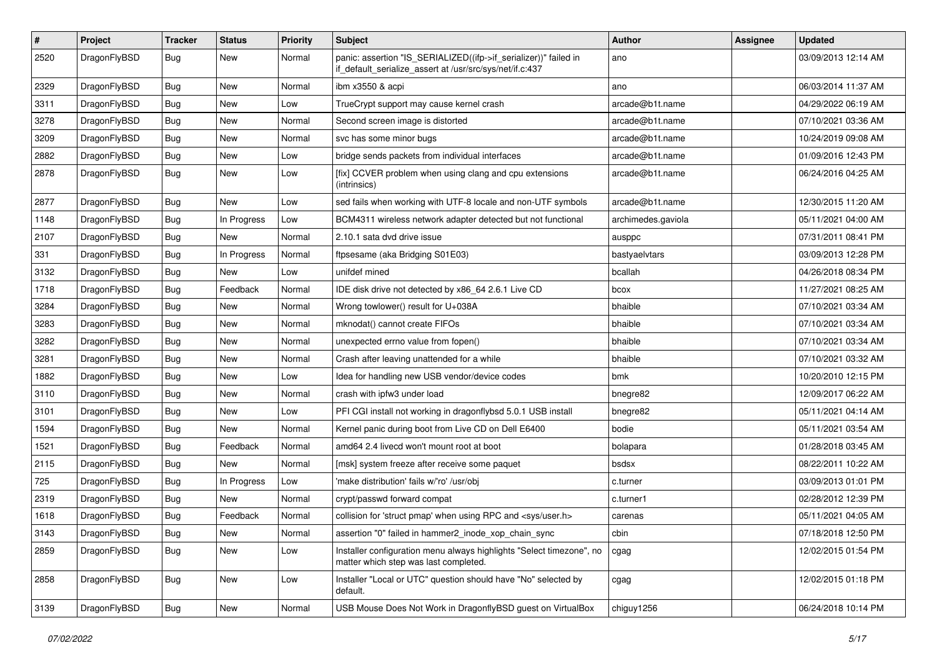| #    | Project      | <b>Tracker</b> | <b>Status</b> | <b>Priority</b> | Subject                                                                                                                      | Author             | Assignee | <b>Updated</b>      |
|------|--------------|----------------|---------------|-----------------|------------------------------------------------------------------------------------------------------------------------------|--------------------|----------|---------------------|
| 2520 | DragonFlyBSD | Bug            | New           | Normal          | panic: assertion "IS_SERIALIZED((ifp->if_serializer))" failed in<br>if_default_serialize_assert at /usr/src/sys/net/if.c:437 | ano                |          | 03/09/2013 12:14 AM |
| 2329 | DragonFlyBSD | Bug            | <b>New</b>    | Normal          | ibm x3550 & acpi                                                                                                             | ano                |          | 06/03/2014 11:37 AM |
| 3311 | DragonFlyBSD | Bug            | New           | Low             | TrueCrypt support may cause kernel crash                                                                                     | arcade@b1t.name    |          | 04/29/2022 06:19 AM |
| 3278 | DragonFlyBSD | <b>Bug</b>     | <b>New</b>    | Normal          | Second screen image is distorted                                                                                             | arcade@b1t.name    |          | 07/10/2021 03:36 AM |
| 3209 | DragonFlyBSD | <b>Bug</b>     | New           | Normal          | svc has some minor bugs                                                                                                      | arcade@b1t.name    |          | 10/24/2019 09:08 AM |
| 2882 | DragonFlyBSD | Bug            | <b>New</b>    | Low             | bridge sends packets from individual interfaces                                                                              | arcade@b1t.name    |          | 01/09/2016 12:43 PM |
| 2878 | DragonFlyBSD | <b>Bug</b>     | New           | Low             | [fix] CCVER problem when using clang and cpu extensions<br>(intrinsics)                                                      | arcade@b1t.name    |          | 06/24/2016 04:25 AM |
| 2877 | DragonFlyBSD | <b>Bug</b>     | New           | Low             | sed fails when working with UTF-8 locale and non-UTF symbols                                                                 | arcade@b1t.name    |          | 12/30/2015 11:20 AM |
| 1148 | DragonFlyBSD | Bug            | In Progress   | Low             | BCM4311 wireless network adapter detected but not functional                                                                 | archimedes.gaviola |          | 05/11/2021 04:00 AM |
| 2107 | DragonFlyBSD | <b>Bug</b>     | New           | Normal          | 2.10.1 sata dvd drive issue                                                                                                  | ausppc             |          | 07/31/2011 08:41 PM |
| 331  | DragonFlyBSD | <b>Bug</b>     | In Progress   | Normal          | ftpsesame (aka Bridging S01E03)                                                                                              | bastyaelvtars      |          | 03/09/2013 12:28 PM |
| 3132 | DragonFlyBSD | Bug            | New           | Low             | unifdef mined                                                                                                                | bcallah            |          | 04/26/2018 08:34 PM |
| 1718 | DragonFlyBSD | Bug            | Feedback      | Normal          | IDE disk drive not detected by x86_64 2.6.1 Live CD                                                                          | bcox               |          | 11/27/2021 08:25 AM |
| 3284 | DragonFlyBSD | <b>Bug</b>     | <b>New</b>    | Normal          | Wrong towlower() result for U+038A                                                                                           | bhaible            |          | 07/10/2021 03:34 AM |
| 3283 | DragonFlyBSD | Bug            | <b>New</b>    | Normal          | mknodat() cannot create FIFOs                                                                                                | bhaible            |          | 07/10/2021 03:34 AM |
| 3282 | DragonFlyBSD | Bug            | <b>New</b>    | Normal          | unexpected errno value from fopen()                                                                                          | bhaible            |          | 07/10/2021 03:34 AM |
| 3281 | DragonFlyBSD | <b>Bug</b>     | New           | Normal          | Crash after leaving unattended for a while                                                                                   | bhaible            |          | 07/10/2021 03:32 AM |
| 1882 | DragonFlyBSD | <b>Bug</b>     | <b>New</b>    | Low             | Idea for handling new USB vendor/device codes                                                                                | bmk                |          | 10/20/2010 12:15 PM |
| 3110 | DragonFlyBSD | <b>Bug</b>     | New           | Normal          | crash with ipfw3 under load                                                                                                  | bnegre82           |          | 12/09/2017 06:22 AM |
| 3101 | DragonFlyBSD | Bug            | <b>New</b>    | Low             | PFI CGI install not working in dragonflybsd 5.0.1 USB install                                                                | bnegre82           |          | 05/11/2021 04:14 AM |
| 1594 | DragonFlyBSD | <b>Bug</b>     | New           | Normal          | Kernel panic during boot from Live CD on Dell E6400                                                                          | bodie              |          | 05/11/2021 03:54 AM |
| 1521 | DragonFlyBSD | <b>Bug</b>     | Feedback      | Normal          | amd64 2.4 livecd won't mount root at boot                                                                                    | bolapara           |          | 01/28/2018 03:45 AM |
| 2115 | DragonFlyBSD | <b>Bug</b>     | New           | Normal          | [msk] system freeze after receive some paquet                                                                                | bsdsx              |          | 08/22/2011 10:22 AM |
| 725  | DragonFlyBSD | Bug            | In Progress   | Low             | 'make distribution' fails w/'ro' /usr/obi                                                                                    | c.turner           |          | 03/09/2013 01:01 PM |
| 2319 | DragonFlyBSD | <b>Bug</b>     | New           | Normal          | crypt/passwd forward compat                                                                                                  | c.turner1          |          | 02/28/2012 12:39 PM |
| 1618 | DragonFlyBSD | <b>Bug</b>     | Feedback      | Normal          | collision for 'struct pmap' when using RPC and <sys user.h=""></sys>                                                         | carenas            |          | 05/11/2021 04:05 AM |
| 3143 | DragonFlyBSD | Bug            | New           | Normal          | assertion "0" failed in hammer2_inode_xop_chain_sync                                                                         | cbin               |          | 07/18/2018 12:50 PM |
| 2859 | DragonFlyBSD | Bug            | New           | Low             | Installer configuration menu always highlights "Select timezone", no<br>matter which step was last completed.                | cgag               |          | 12/02/2015 01:54 PM |
| 2858 | DragonFlyBSD | <b>Bug</b>     | New           | Low             | Installer "Local or UTC" question should have "No" selected by<br>default.                                                   | cgag               |          | 12/02/2015 01:18 PM |
| 3139 | DragonFlyBSD | <b>Bug</b>     | New           | Normal          | USB Mouse Does Not Work in DragonflyBSD guest on VirtualBox                                                                  | chiguy1256         |          | 06/24/2018 10:14 PM |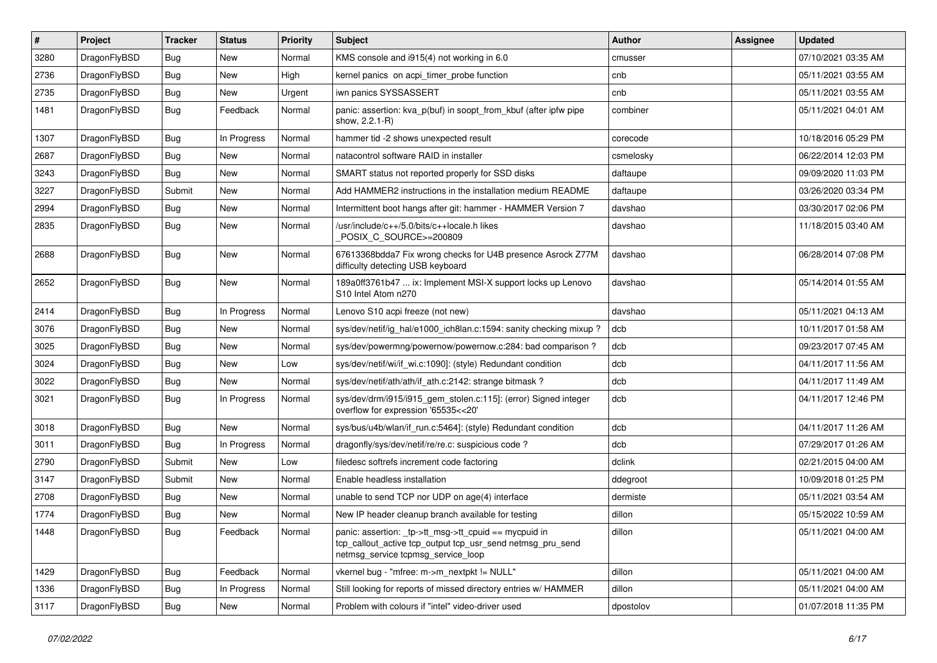| #    | Project      | <b>Tracker</b> | <b>Status</b> | <b>Priority</b> | Subject                                                                                                                                                   | Author    | <b>Assignee</b> | <b>Updated</b>      |
|------|--------------|----------------|---------------|-----------------|-----------------------------------------------------------------------------------------------------------------------------------------------------------|-----------|-----------------|---------------------|
| 3280 | DragonFlyBSD | Bug            | <b>New</b>    | Normal          | KMS console and i915(4) not working in 6.0                                                                                                                | cmusser   |                 | 07/10/2021 03:35 AM |
| 2736 | DragonFlyBSD | Bug            | <b>New</b>    | High            | kernel panics on acpi timer probe function                                                                                                                | cnb       |                 | 05/11/2021 03:55 AM |
| 2735 | DragonFlyBSD | <b>Bug</b>     | New           | Urgent          | iwn panics SYSSASSERT                                                                                                                                     | cnb       |                 | 05/11/2021 03:55 AM |
| 1481 | DragonFlyBSD | Bug            | Feedback      | Normal          | panic: assertion: kva_p(buf) in soopt_from_kbuf (after ipfw pipe<br>show, 2.2.1-R)                                                                        | combiner  |                 | 05/11/2021 04:01 AM |
| 1307 | DragonFlyBSD | Bug            | In Progress   | Normal          | hammer tid -2 shows unexpected result                                                                                                                     | corecode  |                 | 10/18/2016 05:29 PM |
| 2687 | DragonFlyBSD | Bug            | <b>New</b>    | Normal          | natacontrol software RAID in installer                                                                                                                    | csmelosky |                 | 06/22/2014 12:03 PM |
| 3243 | DragonFlyBSD | <b>Bug</b>     | New           | Normal          | SMART status not reported properly for SSD disks                                                                                                          | daftaupe  |                 | 09/09/2020 11:03 PM |
| 3227 | DragonFlyBSD | Submit         | New           | Normal          | Add HAMMER2 instructions in the installation medium README                                                                                                | daftaupe  |                 | 03/26/2020 03:34 PM |
| 2994 | DragonFlyBSD | <b>Bug</b>     | <b>New</b>    | Normal          | Intermittent boot hangs after git: hammer - HAMMER Version 7                                                                                              | davshao   |                 | 03/30/2017 02:06 PM |
| 2835 | DragonFlyBSD | <b>Bug</b>     | New           | Normal          | /usr/include/c++/5.0/bits/c++locale.h likes<br>POSIX_C_SOURCE>=200809                                                                                     | davshao   |                 | 11/18/2015 03:40 AM |
| 2688 | DragonFlyBSD | <b>Bug</b>     | New           | Normal          | 67613368bdda7 Fix wrong checks for U4B presence Asrock Z77M<br>difficulty detecting USB keyboard                                                          | davshao   |                 | 06/28/2014 07:08 PM |
| 2652 | DragonFlyBSD | Bug            | <b>New</b>    | Normal          | 189a0ff3761b47  ix: Implement MSI-X support locks up Lenovo<br>S10 Intel Atom n270                                                                        | davshao   |                 | 05/14/2014 01:55 AM |
| 2414 | DragonFlyBSD | <b>Bug</b>     | In Progress   | Normal          | Lenovo S10 acpi freeze (not new)                                                                                                                          | davshao   |                 | 05/11/2021 04:13 AM |
| 3076 | DragonFlyBSD | Bug            | <b>New</b>    | Normal          | sys/dev/netif/ig_hal/e1000_ich8lan.c:1594: sanity checking mixup ?                                                                                        | dcb       |                 | 10/11/2017 01:58 AM |
| 3025 | DragonFlyBSD | Bug            | New           | Normal          | sys/dev/powermng/powernow/powernow.c:284: bad comparison?                                                                                                 | dcb       |                 | 09/23/2017 07:45 AM |
| 3024 | DragonFlyBSD | Bug            | <b>New</b>    | Low             | sys/dev/netif/wi/if_wi.c:1090]: (style) Redundant condition                                                                                               | dcb       |                 | 04/11/2017 11:56 AM |
| 3022 | DragonFlyBSD | <b>Bug</b>     | New           | Normal          | sys/dev/netif/ath/ath/if ath.c:2142: strange bitmask?                                                                                                     | dcb       |                 | 04/11/2017 11:49 AM |
| 3021 | DragonFlyBSD | Bug            | In Progress   | Normal          | sys/dev/drm/i915/i915_gem_stolen.c:115]: (error) Signed integer<br>overflow for expression '65535<<20'                                                    | dcb       |                 | 04/11/2017 12:46 PM |
| 3018 | DragonFlyBSD | Bug            | New           | Normal          | sys/bus/u4b/wlan/if_run.c:5464]: (style) Redundant condition                                                                                              | dcb       |                 | 04/11/2017 11:26 AM |
| 3011 | DragonFlyBSD | Bug            | In Progress   | Normal          | dragonfly/sys/dev/netif/re/re.c: suspicious code ?                                                                                                        | dcb       |                 | 07/29/2017 01:26 AM |
| 2790 | DragonFlyBSD | Submit         | <b>New</b>    | Low             | filedesc softrefs increment code factoring                                                                                                                | dclink    |                 | 02/21/2015 04:00 AM |
| 3147 | DragonFlyBSD | Submit         | New           | Normal          | Enable headless installation                                                                                                                              | ddegroot  |                 | 10/09/2018 01:25 PM |
| 2708 | DragonFlyBSD | Bug            | <b>New</b>    | Normal          | unable to send TCP nor UDP on age(4) interface                                                                                                            | dermiste  |                 | 05/11/2021 03:54 AM |
| 1774 | DragonFlyBSD | Bug            | New           | Normal          | New IP header cleanup branch available for testing                                                                                                        | dillon    |                 | 05/15/2022 10:59 AM |
| 1448 | DragonFlyBSD | <b>Bug</b>     | Feedback      | Normal          | panic: assertion: _tp->tt_msg->tt_cpuid == mycpuid in<br>tcp_callout_active tcp_output tcp_usr_send netmsg_pru_send<br>netmsg_service tcpmsg_service_loop | dillon    |                 | 05/11/2021 04:00 AM |
| 1429 | DragonFlyBSD | <b>Bug</b>     | Feedback      | Normal          | vkernel bug - "mfree: m->m_nextpkt != NULL"                                                                                                               | dillon    |                 | 05/11/2021 04:00 AM |
| 1336 | DragonFlyBSD | <b>Bug</b>     | In Progress   | Normal          | Still looking for reports of missed directory entries w/ HAMMER                                                                                           | dillon    |                 | 05/11/2021 04:00 AM |
| 3117 | DragonFlyBSD | Bug            | New           | Normal          | Problem with colours if "intel" video-driver used                                                                                                         | dpostolov |                 | 01/07/2018 11:35 PM |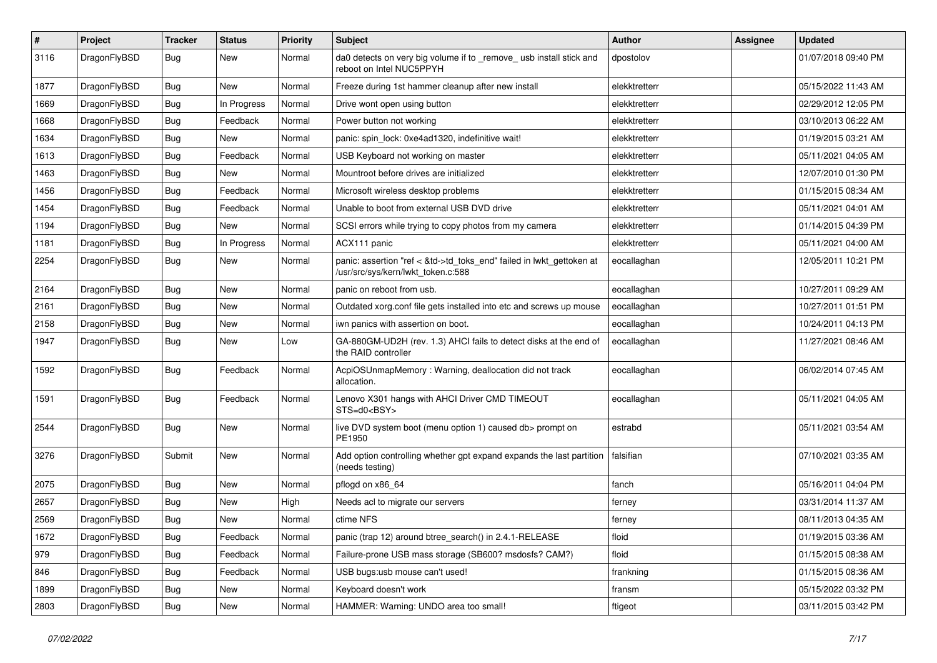| #    | Project      | <b>Tracker</b> | <b>Status</b> | <b>Priority</b> | Subject                                                                                                    | Author        | Assignee | <b>Updated</b>      |
|------|--------------|----------------|---------------|-----------------|------------------------------------------------------------------------------------------------------------|---------------|----------|---------------------|
| 3116 | DragonFlyBSD | Bug            | New           | Normal          | da0 detects on very big volume if to _remove_ usb install stick and<br>reboot on Intel NUC5PPYH            | dpostolov     |          | 01/07/2018 09:40 PM |
| 1877 | DragonFlyBSD | <b>Bug</b>     | <b>New</b>    | Normal          | Freeze during 1st hammer cleanup after new install                                                         | elekktretterr |          | 05/15/2022 11:43 AM |
| 1669 | DragonFlyBSD | Bug            | In Progress   | Normal          | Drive wont open using button                                                                               | elekktretterr |          | 02/29/2012 12:05 PM |
| 1668 | DragonFlyBSD | <b>Bug</b>     | Feedback      | Normal          | Power button not working                                                                                   | elekktretterr |          | 03/10/2013 06:22 AM |
| 1634 | DragonFlyBSD | <b>Bug</b>     | New           | Normal          | panic: spin lock: 0xe4ad1320, indefinitive wait!                                                           | elekktretterr |          | 01/19/2015 03:21 AM |
| 1613 | DragonFlyBSD | Bug            | Feedback      | Normal          | USB Keyboard not working on master                                                                         | elekktretterr |          | 05/11/2021 04:05 AM |
| 1463 | DragonFlyBSD | <b>Bug</b>     | New           | Normal          | Mountroot before drives are initialized                                                                    | elekktretterr |          | 12/07/2010 01:30 PM |
| 1456 | DragonFlyBSD | <b>Bug</b>     | Feedback      | Normal          | Microsoft wireless desktop problems                                                                        | elekktretterr |          | 01/15/2015 08:34 AM |
| 1454 | DragonFlyBSD | <b>Bug</b>     | Feedback      | Normal          | Unable to boot from external USB DVD drive                                                                 | elekktretterr |          | 05/11/2021 04:01 AM |
| 1194 | DragonFlyBSD | <b>Bug</b>     | New           | Normal          | SCSI errors while trying to copy photos from my camera                                                     | elekktretterr |          | 01/14/2015 04:39 PM |
| 1181 | DragonFlyBSD | Bug            | In Progress   | Normal          | ACX111 panic                                                                                               | elekktretterr |          | 05/11/2021 04:00 AM |
| 2254 | DragonFlyBSD | Bug            | <b>New</b>    | Normal          | panic: assertion "ref < &td->td_toks_end" failed in lwkt_gettoken at<br>/usr/src/sys/kern/lwkt_token.c:588 | eocallaghan   |          | 12/05/2011 10:21 PM |
| 2164 | DragonFlyBSD | <b>Bug</b>     | <b>New</b>    | Normal          | panic on reboot from usb.                                                                                  | eocallaghan   |          | 10/27/2011 09:29 AM |
| 2161 | DragonFlyBSD | <b>Bug</b>     | New           | Normal          | Outdated xorg.conf file gets installed into etc and screws up mouse                                        | eocallaghan   |          | 10/27/2011 01:51 PM |
| 2158 | DragonFlyBSD | <b>Bug</b>     | New           | Normal          | iwn panics with assertion on boot.                                                                         | eocallaghan   |          | 10/24/2011 04:13 PM |
| 1947 | DragonFlyBSD | <b>Bug</b>     | <b>New</b>    | Low             | GA-880GM-UD2H (rev. 1.3) AHCI fails to detect disks at the end of<br>the RAID controller                   | eocallaghan   |          | 11/27/2021 08:46 AM |
| 1592 | DragonFlyBSD | Bug            | Feedback      | Normal          | AcpiOSUnmapMemory: Warning, deallocation did not track<br>allocation.                                      | eocallaghan   |          | 06/02/2014 07:45 AM |
| 1591 | DragonFlyBSD | Bug            | Feedback      | Normal          | Lenovo X301 hangs with AHCI Driver CMD TIMEOUT<br>STS=d0 <bsy></bsy>                                       | eocallaghan   |          | 05/11/2021 04:05 AM |
| 2544 | DragonFlyBSD | Bug            | <b>New</b>    | Normal          | live DVD system boot (menu option 1) caused db> prompt on<br>PE1950                                        | estrabd       |          | 05/11/2021 03:54 AM |
| 3276 | DragonFlyBSD | Submit         | <b>New</b>    | Normal          | Add option controlling whether gpt expand expands the last partition<br>(needs testing)                    | falsifian     |          | 07/10/2021 03:35 AM |
| 2075 | DragonFlyBSD | Bug            | <b>New</b>    | Normal          | pflogd on x86 64                                                                                           | fanch         |          | 05/16/2011 04:04 PM |
| 2657 | DragonFlyBSD | <b>Bug</b>     | <b>New</b>    | High            | Needs acl to migrate our servers                                                                           | ferney        |          | 03/31/2014 11:37 AM |
| 2569 | DragonFlyBSD | <b>Bug</b>     | New           | Normal          | ctime NFS                                                                                                  | ferney        |          | 08/11/2013 04:35 AM |
| 1672 | DragonFlyBSD | Bug            | Feedback      | Normal          | panic (trap 12) around btree search() in 2.4.1-RELEASE                                                     | floid         |          | 01/19/2015 03:36 AM |
| 979  | DragonFlyBSD | <b>Bug</b>     | Feedback      | Normal          | Failure-prone USB mass storage (SB600? msdosfs? CAM?)                                                      | floid         |          | 01/15/2015 08:38 AM |
| 846  | DragonFlyBSD | <b>Bug</b>     | Feedback      | Normal          | USB bugs:usb mouse can't used!                                                                             | frankning     |          | 01/15/2015 08:36 AM |
| 1899 | DragonFlyBSD | <b>Bug</b>     | New           | Normal          | Keyboard doesn't work                                                                                      | fransm        |          | 05/15/2022 03:32 PM |
| 2803 | DragonFlyBSD | <b>Bug</b>     | New           | Normal          | HAMMER: Warning: UNDO area too small!                                                                      | ftigeot       |          | 03/11/2015 03:42 PM |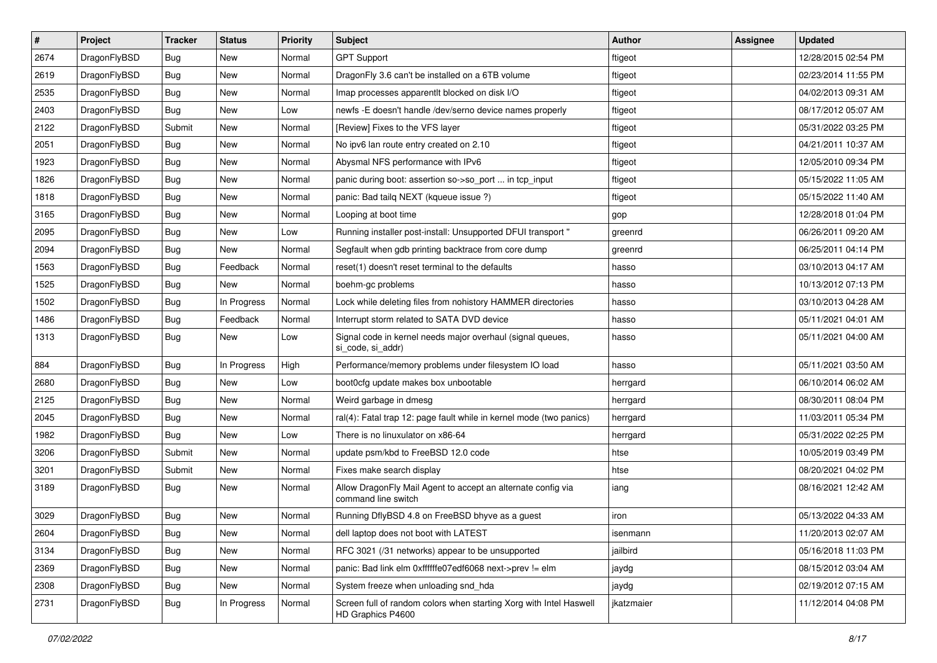| $\sharp$ | Project      | <b>Tracker</b> | <b>Status</b> | <b>Priority</b> | Subject                                                                                 | <b>Author</b> | Assignee | <b>Updated</b>      |
|----------|--------------|----------------|---------------|-----------------|-----------------------------------------------------------------------------------------|---------------|----------|---------------------|
| 2674     | DragonFlyBSD | Bug            | New           | Normal          | <b>GPT Support</b>                                                                      | ftigeot       |          | 12/28/2015 02:54 PM |
| 2619     | DragonFlyBSD | Bug            | <b>New</b>    | Normal          | DragonFly 3.6 can't be installed on a 6TB volume                                        | ftigeot       |          | 02/23/2014 11:55 PM |
| 2535     | DragonFlyBSD | Bug            | <b>New</b>    | Normal          | Imap processes apparentlt blocked on disk I/O                                           | ftigeot       |          | 04/02/2013 09:31 AM |
| 2403     | DragonFlyBSD | Bug            | New           | Low             | newfs - E doesn't handle /dev/serno device names properly                               | ftigeot       |          | 08/17/2012 05:07 AM |
| 2122     | DragonFlyBSD | Submit         | <b>New</b>    | Normal          | [Review] Fixes to the VFS layer                                                         | ftigeot       |          | 05/31/2022 03:25 PM |
| 2051     | DragonFlyBSD | <b>Bug</b>     | New           | Normal          | No ipv6 lan route entry created on 2.10                                                 | ftigeot       |          | 04/21/2011 10:37 AM |
| 1923     | DragonFlyBSD | Bug            | New           | Normal          | Abysmal NFS performance with IPv6                                                       | ftigeot       |          | 12/05/2010 09:34 PM |
| 1826     | DragonFlyBSD | Bug            | <b>New</b>    | Normal          | panic during boot: assertion so->so_port  in tcp_input                                  | ftigeot       |          | 05/15/2022 11:05 AM |
| 1818     | DragonFlyBSD | Bug            | New           | Normal          | panic: Bad tailg NEXT (kqueue issue ?)                                                  | ftigeot       |          | 05/15/2022 11:40 AM |
| 3165     | DragonFlyBSD | Bug            | <b>New</b>    | Normal          | Looping at boot time                                                                    | gop           |          | 12/28/2018 01:04 PM |
| 2095     | DragonFlyBSD | Bug            | New           | Low             | Running installer post-install: Unsupported DFUI transport "                            | greenrd       |          | 06/26/2011 09:20 AM |
| 2094     | DragonFlyBSD | <b>Bug</b>     | New           | Normal          | Segfault when gdb printing backtrace from core dump                                     | greenrd       |          | 06/25/2011 04:14 PM |
| 1563     | DragonFlyBSD | Bug            | Feedback      | Normal          | reset(1) doesn't reset terminal to the defaults                                         | hasso         |          | 03/10/2013 04:17 AM |
| 1525     | DragonFlyBSD | Bug            | <b>New</b>    | Normal          | boehm-gc problems                                                                       | hasso         |          | 10/13/2012 07:13 PM |
| 1502     | DragonFlyBSD | <b>Bug</b>     | In Progress   | Normal          | Lock while deleting files from nohistory HAMMER directories                             | hasso         |          | 03/10/2013 04:28 AM |
| 1486     | DragonFlyBSD | <b>Bug</b>     | Feedback      | Normal          | Interrupt storm related to SATA DVD device                                              | hasso         |          | 05/11/2021 04:01 AM |
| 1313     | DragonFlyBSD | Bug            | New           | Low             | Signal code in kernel needs major overhaul (signal queues,<br>si_code, si_addr)         | hasso         |          | 05/11/2021 04:00 AM |
| 884      | DragonFlyBSD | Bug            | In Progress   | High            | Performance/memory problems under filesystem IO load                                    | hasso         |          | 05/11/2021 03:50 AM |
| 2680     | DragonFlyBSD | Bug            | <b>New</b>    | Low             | boot0cfg update makes box unbootable                                                    | herrgard      |          | 06/10/2014 06:02 AM |
| 2125     | DragonFlyBSD | <b>Bug</b>     | New           | Normal          | Weird garbage in dmesg                                                                  | herrgard      |          | 08/30/2011 08:04 PM |
| 2045     | DragonFlyBSD | Bug            | <b>New</b>    | Normal          | ral(4): Fatal trap 12: page fault while in kernel mode (two panics)                     | herrgard      |          | 11/03/2011 05:34 PM |
| 1982     | DragonFlyBSD | Bug            | <b>New</b>    | Low             | There is no linuxulator on x86-64                                                       | herrgard      |          | 05/31/2022 02:25 PM |
| 3206     | DragonFlyBSD | Submit         | New           | Normal          | update psm/kbd to FreeBSD 12.0 code                                                     | htse          |          | 10/05/2019 03:49 PM |
| 3201     | DragonFlyBSD | Submit         | New           | Normal          | Fixes make search display                                                               | htse          |          | 08/20/2021 04:02 PM |
| 3189     | DragonFlyBSD | Bug            | New           | Normal          | Allow DragonFly Mail Agent to accept an alternate config via<br>command line switch     | iang          |          | 08/16/2021 12:42 AM |
| 3029     | DragonFlyBSD | Bug            | <b>New</b>    | Normal          | Running DflyBSD 4.8 on FreeBSD bhyve as a guest                                         | iron          |          | 05/13/2022 04:33 AM |
| 2604     | DragonFlyBSD | Bug            | New           | Normal          | dell laptop does not boot with LATEST                                                   | isenmann      |          | 11/20/2013 02:07 AM |
| 3134     | DragonFlyBSD | <b>Bug</b>     | <b>New</b>    | Normal          | RFC 3021 (/31 networks) appear to be unsupported                                        | jailbird      |          | 05/16/2018 11:03 PM |
| 2369     | DragonFlyBSD | <b>Bug</b>     | <b>New</b>    | Normal          | panic: Bad link elm 0xffffffe07edf6068 next->prev != elm                                | jaydg         |          | 08/15/2012 03:04 AM |
| 2308     | DragonFlyBSD | <b>Bug</b>     | New           | Normal          | System freeze when unloading snd hda                                                    | jaydg         |          | 02/19/2012 07:15 AM |
| 2731     | DragonFlyBSD | <b>Bug</b>     | In Progress   | Normal          | Screen full of random colors when starting Xorg with Intel Haswell<br>HD Graphics P4600 | jkatzmaier    |          | 11/12/2014 04:08 PM |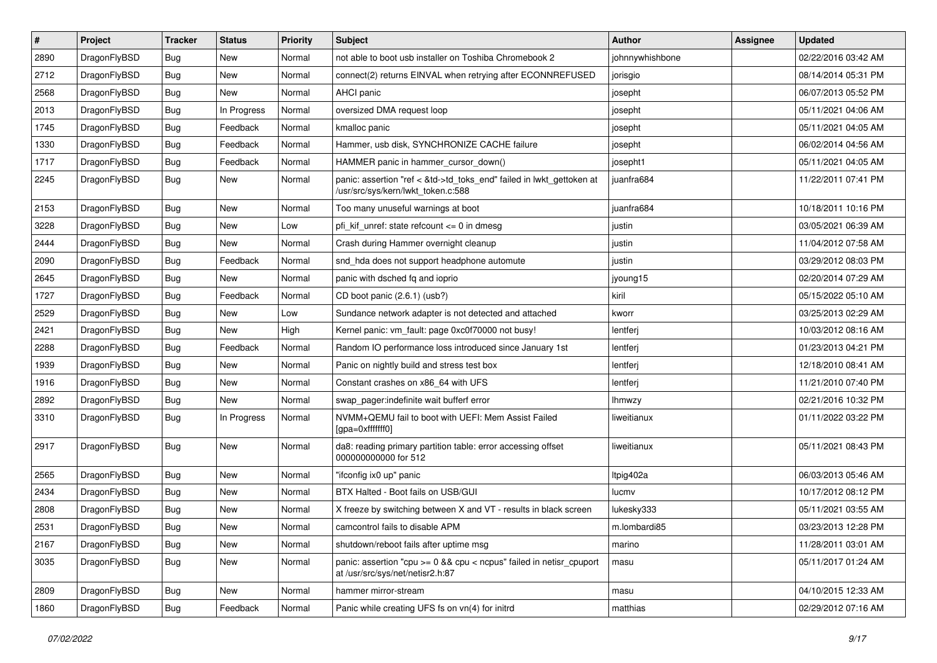| $\sharp$ | Project      | <b>Tracker</b> | <b>Status</b> | <b>Priority</b> | Subject                                                                                                    | <b>Author</b>   | Assignee | <b>Updated</b>      |
|----------|--------------|----------------|---------------|-----------------|------------------------------------------------------------------------------------------------------------|-----------------|----------|---------------------|
| 2890     | DragonFlyBSD | <b>Bug</b>     | New           | Normal          | not able to boot usb installer on Toshiba Chromebook 2                                                     | johnnywhishbone |          | 02/22/2016 03:42 AM |
| 2712     | DragonFlyBSD | Bug            | New           | Normal          | connect(2) returns EINVAL when retrying after ECONNREFUSED                                                 | jorisgio        |          | 08/14/2014 05:31 PM |
| 2568     | DragonFlyBSD | <b>Bug</b>     | New           | Normal          | AHCI panic                                                                                                 | josepht         |          | 06/07/2013 05:52 PM |
| 2013     | DragonFlyBSD | <b>Bug</b>     | In Progress   | Normal          | oversized DMA request loop                                                                                 | josepht         |          | 05/11/2021 04:06 AM |
| 1745     | DragonFlyBSD | Bug            | Feedback      | Normal          | kmalloc panic                                                                                              | josepht         |          | 05/11/2021 04:05 AM |
| 1330     | DragonFlyBSD | <b>Bug</b>     | Feedback      | Normal          | Hammer, usb disk, SYNCHRONIZE CACHE failure                                                                | josepht         |          | 06/02/2014 04:56 AM |
| 1717     | DragonFlyBSD | <b>Bug</b>     | Feedback      | Normal          | HAMMER panic in hammer_cursor_down()                                                                       | josepht1        |          | 05/11/2021 04:05 AM |
| 2245     | DragonFlyBSD | <b>Bug</b>     | <b>New</b>    | Normal          | panic: assertion "ref < &td->td_toks_end" failed in lwkt_gettoken at<br>/usr/src/sys/kern/lwkt_token.c:588 | juanfra684      |          | 11/22/2011 07:41 PM |
| 2153     | DragonFlyBSD | Bug            | <b>New</b>    | Normal          | Too many unuseful warnings at boot                                                                         | juanfra684      |          | 10/18/2011 10:16 PM |
| 3228     | DragonFlyBSD | <b>Bug</b>     | New           | Low             | pfi kif unref: state refcount $\leq$ 0 in dmesg                                                            | justin          |          | 03/05/2021 06:39 AM |
| 2444     | DragonFlyBSD | <b>Bug</b>     | New           | Normal          | Crash during Hammer overnight cleanup                                                                      | justin          |          | 11/04/2012 07:58 AM |
| 2090     | DragonFlyBSD | <b>Bug</b>     | Feedback      | Normal          | snd hda does not support headphone automute                                                                | justin          |          | 03/29/2012 08:03 PM |
| 2645     | DragonFlyBSD | <b>Bug</b>     | New           | Normal          | panic with dsched fq and ioprio                                                                            | jyoung15        |          | 02/20/2014 07:29 AM |
| 1727     | DragonFlyBSD | <b>Bug</b>     | Feedback      | Normal          | CD boot panic (2.6.1) (usb?)                                                                               | kiril           |          | 05/15/2022 05:10 AM |
| 2529     | DragonFlyBSD | <b>Bug</b>     | New           | Low             | Sundance network adapter is not detected and attached                                                      | kworr           |          | 03/25/2013 02:29 AM |
| 2421     | DragonFlyBSD | <b>Bug</b>     | New           | High            | Kernel panic: vm fault: page 0xc0f70000 not busy!                                                          | lentferj        |          | 10/03/2012 08:16 AM |
| 2288     | DragonFlyBSD | <b>Bug</b>     | Feedback      | Normal          | Random IO performance loss introduced since January 1st                                                    | lentferj        |          | 01/23/2013 04:21 PM |
| 1939     | DragonFlyBSD | <b>Bug</b>     | New           | Normal          | Panic on nightly build and stress test box                                                                 | lentferj        |          | 12/18/2010 08:41 AM |
| 1916     | DragonFlyBSD | <b>Bug</b>     | New           | Normal          | Constant crashes on x86_64 with UFS                                                                        | lentferj        |          | 11/21/2010 07:40 PM |
| 2892     | DragonFlyBSD | <b>Bug</b>     | New           | Normal          | swap pager:indefinite wait bufferf error                                                                   | <b>Ihmwzy</b>   |          | 02/21/2016 10:32 PM |
| 3310     | DragonFlyBSD | <b>Bug</b>     | In Progress   | Normal          | NVMM+QEMU fail to boot with UEFI: Mem Assist Failed<br>[gpa=0xfffffff0]                                    | liweitianux     |          | 01/11/2022 03:22 PM |
| 2917     | DragonFlyBSD | Bug            | New           | Normal          | da8: reading primary partition table: error accessing offset<br>000000000000 for 512                       | liweitianux     |          | 05/11/2021 08:43 PM |
| 2565     | DragonFlyBSD | Bug            | <b>New</b>    | Normal          | "ifconfig ix0 up" panic                                                                                    | Itpig402a       |          | 06/03/2013 05:46 AM |
| 2434     | DragonFlyBSD | <b>Bug</b>     | <b>New</b>    | Normal          | BTX Halted - Boot fails on USB/GUI                                                                         | lucmv           |          | 10/17/2012 08:12 PM |
| 2808     | DragonFlyBSD | <b>Bug</b>     | New           | Normal          | X freeze by switching between X and VT - results in black screen                                           | lukesky333      |          | 05/11/2021 03:55 AM |
| 2531     | DragonFlyBSD | Bug            | <b>New</b>    | Normal          | camcontrol fails to disable APM                                                                            | m.lombardi85    |          | 03/23/2013 12:28 PM |
| 2167     | DragonFlyBSD | <b>Bug</b>     | <b>New</b>    | Normal          | shutdown/reboot fails after uptime msg                                                                     | marino          |          | 11/28/2011 03:01 AM |
| 3035     | DragonFlyBSD | Bug            | <b>New</b>    | Normal          | panic: assertion "cpu >= 0 && cpu < ncpus" failed in netisr_cpuport<br>at /usr/src/sys/net/netisr2.h:87    | masu            |          | 05/11/2017 01:24 AM |
| 2809     | DragonFlyBSD | <b>Bug</b>     | New           | Normal          | hammer mirror-stream                                                                                       | masu            |          | 04/10/2015 12:33 AM |
| 1860     | DragonFlyBSD | <b>Bug</b>     | Feedback      | Normal          | Panic while creating UFS fs on vn(4) for initrd                                                            | matthias        |          | 02/29/2012 07:16 AM |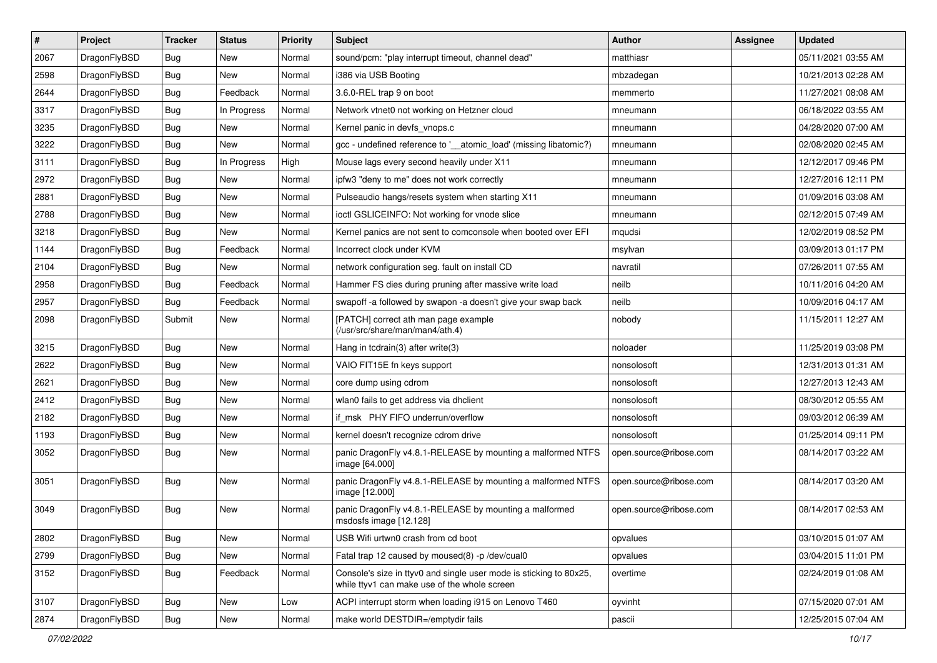| #    | Project      | <b>Tracker</b> | <b>Status</b> | <b>Priority</b> | Subject                                                                                                            | <b>Author</b>          | Assignee | <b>Updated</b>      |
|------|--------------|----------------|---------------|-----------------|--------------------------------------------------------------------------------------------------------------------|------------------------|----------|---------------------|
| 2067 | DragonFlyBSD | Bug            | New           | Normal          | sound/pcm: "play interrupt timeout, channel dead"                                                                  | matthiasr              |          | 05/11/2021 03:55 AM |
| 2598 | DragonFlyBSD | Bug            | <b>New</b>    | Normal          | i386 via USB Booting                                                                                               | mbzadegan              |          | 10/21/2013 02:28 AM |
| 2644 | DragonFlyBSD | <b>Bug</b>     | Feedback      | Normal          | 3.6.0-REL trap 9 on boot                                                                                           | memmerto               |          | 11/27/2021 08:08 AM |
| 3317 | DragonFlyBSD | <b>Bug</b>     | In Progress   | Normal          | Network vtnet0 not working on Hetzner cloud                                                                        | mneumann               |          | 06/18/2022 03:55 AM |
| 3235 | DragonFlyBSD | Bug            | <b>New</b>    | Normal          | Kernel panic in devfs vnops.c                                                                                      | mneumann               |          | 04/28/2020 07:00 AM |
| 3222 | DragonFlyBSD | <b>Bug</b>     | New           | Normal          | gcc - undefined reference to '_atomic_load' (missing libatomic?)                                                   | mneumann               |          | 02/08/2020 02:45 AM |
| 3111 | DragonFlyBSD | Bug            | In Progress   | High            | Mouse lags every second heavily under X11                                                                          | mneumann               |          | 12/12/2017 09:46 PM |
| 2972 | DragonFlyBSD | <b>Bug</b>     | <b>New</b>    | Normal          | ipfw3 "deny to me" does not work correctly                                                                         | mneumann               |          | 12/27/2016 12:11 PM |
| 2881 | DragonFlyBSD | Bug            | New           | Normal          | Pulseaudio hangs/resets system when starting X11                                                                   | mneumann               |          | 01/09/2016 03:08 AM |
| 2788 | DragonFlyBSD | Bug            | New           | Normal          | ioctl GSLICEINFO: Not working for vnode slice                                                                      | mneumann               |          | 02/12/2015 07:49 AM |
| 3218 | DragonFlyBSD | Bug            | <b>New</b>    | Normal          | Kernel panics are not sent to comconsole when booted over EFI                                                      | mqudsi                 |          | 12/02/2019 08:52 PM |
| 1144 | DragonFlyBSD | Bug            | Feedback      | Normal          | Incorrect clock under KVM                                                                                          | msylvan                |          | 03/09/2013 01:17 PM |
| 2104 | DragonFlyBSD | Bug            | New           | Normal          | network configuration seg. fault on install CD                                                                     | navratil               |          | 07/26/2011 07:55 AM |
| 2958 | DragonFlyBSD | Bug            | Feedback      | Normal          | Hammer FS dies during pruning after massive write load                                                             | neilb                  |          | 10/11/2016 04:20 AM |
| 2957 | DragonFlyBSD | Bug            | Feedback      | Normal          | swapoff -a followed by swapon -a doesn't give your swap back                                                       | neilb                  |          | 10/09/2016 04:17 AM |
| 2098 | DragonFlyBSD | Submit         | New           | Normal          | [PATCH] correct ath man page example<br>(/usr/src/share/man/man4/ath.4)                                            | nobody                 |          | 11/15/2011 12:27 AM |
| 3215 | DragonFlyBSD | Bug            | <b>New</b>    | Normal          | Hang in tcdrain(3) after write(3)                                                                                  | noloader               |          | 11/25/2019 03:08 PM |
| 2622 | DragonFlyBSD | Bug            | New           | Normal          | VAIO FIT15E fn keys support                                                                                        | nonsolosoft            |          | 12/31/2013 01:31 AM |
| 2621 | DragonFlyBSD | Bug            | <b>New</b>    | Normal          | core dump using cdrom                                                                                              | nonsolosoft            |          | 12/27/2013 12:43 AM |
| 2412 | DragonFlyBSD | Bug            | New           | Normal          | wlan0 fails to get address via dhclient                                                                            | nonsolosoft            |          | 08/30/2012 05:55 AM |
| 2182 | DragonFlyBSD | Bug            | <b>New</b>    | Normal          | if_msk PHY FIFO underrun/overflow                                                                                  | nonsolosoft            |          | 09/03/2012 06:39 AM |
| 1193 | DragonFlyBSD | <b>Bug</b>     | New           | Normal          | kernel doesn't recognize cdrom drive                                                                               | nonsolosoft            |          | 01/25/2014 09:11 PM |
| 3052 | DragonFlyBSD | Bug            | New           | Normal          | panic DragonFly v4.8.1-RELEASE by mounting a malformed NTFS<br>image [64.000]                                      | open.source@ribose.com |          | 08/14/2017 03:22 AM |
| 3051 | DragonFlyBSD | <b>Bug</b>     | New           | Normal          | panic DragonFly v4.8.1-RELEASE by mounting a malformed NTFS<br>image [12.000]                                      | open.source@ribose.com |          | 08/14/2017 03:20 AM |
| 3049 | DragonFlyBSD | Bug            | New           | Normal          | panic DragonFly v4.8.1-RELEASE by mounting a malformed<br>msdosfs image [12.128]                                   | open.source@ribose.com |          | 08/14/2017 02:53 AM |
| 2802 | DragonFlyBSD | <b>Bug</b>     | New           | Normal          | USB Wifi urtwn0 crash from cd boot                                                                                 | opvalues               |          | 03/10/2015 01:07 AM |
| 2799 | DragonFlyBSD | <b>Bug</b>     | New           | Normal          | Fatal trap 12 caused by moused(8) -p /dev/cual0                                                                    | opvalues               |          | 03/04/2015 11:01 PM |
| 3152 | DragonFlyBSD | <b>Bug</b>     | Feedback      | Normal          | Console's size in ttyv0 and single user mode is sticking to 80x25,<br>while ttyv1 can make use of the whole screen | overtime               |          | 02/24/2019 01:08 AM |
| 3107 | DragonFlyBSD | <b>Bug</b>     | New           | Low             | ACPI interrupt storm when loading i915 on Lenovo T460                                                              | oyvinht                |          | 07/15/2020 07:01 AM |
| 2874 | DragonFlyBSD | <b>Bug</b>     | New           | Normal          | make world DESTDIR=/emptydir fails                                                                                 | pascii                 |          | 12/25/2015 07:04 AM |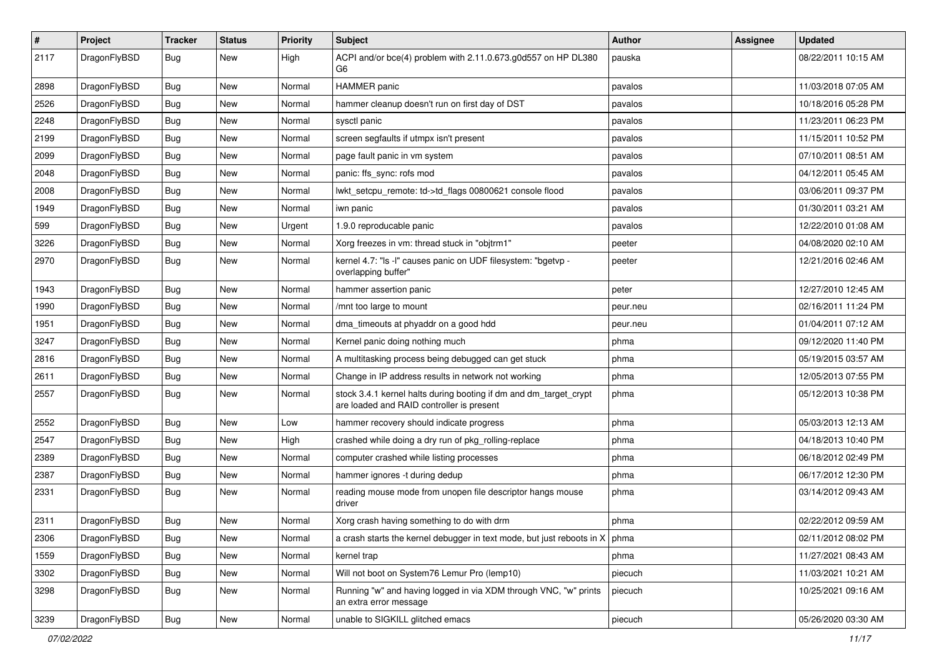| $\sharp$ | Project      | <b>Tracker</b> | <b>Status</b> | <b>Priority</b> | Subject                                                                                                        | Author   | Assignee | <b>Updated</b>      |
|----------|--------------|----------------|---------------|-----------------|----------------------------------------------------------------------------------------------------------------|----------|----------|---------------------|
| 2117     | DragonFlyBSD | Bug            | New           | High            | ACPI and/or bce(4) problem with 2.11.0.673.g0d557 on HP DL380<br>G6                                            | pauska   |          | 08/22/2011 10:15 AM |
| 2898     | DragonFlyBSD | Bug            | <b>New</b>    | Normal          | HAMMER panic                                                                                                   | pavalos  |          | 11/03/2018 07:05 AM |
| 2526     | DragonFlyBSD | <b>Bug</b>     | New           | Normal          | hammer cleanup doesn't run on first day of DST                                                                 | pavalos  |          | 10/18/2016 05:28 PM |
| 2248     | DragonFlyBSD | <b>Bug</b>     | <b>New</b>    | Normal          | sysctl panic                                                                                                   | pavalos  |          | 11/23/2011 06:23 PM |
| 2199     | DragonFlyBSD | <b>Bug</b>     | <b>New</b>    | Normal          | screen segfaults if utmpx isn't present                                                                        | pavalos  |          | 11/15/2011 10:52 PM |
| 2099     | DragonFlyBSD | <b>Bug</b>     | <b>New</b>    | Normal          | page fault panic in vm system                                                                                  | pavalos  |          | 07/10/2011 08:51 AM |
| 2048     | DragonFlyBSD | Bug            | <b>New</b>    | Normal          | panic: ffs_sync: rofs mod                                                                                      | pavalos  |          | 04/12/2011 05:45 AM |
| 2008     | DragonFlyBSD | <b>Bug</b>     | New           | Normal          | lwkt_setcpu_remote: td->td_flags 00800621 console flood                                                        | pavalos  |          | 03/06/2011 09:37 PM |
| 1949     | DragonFlyBSD | <b>Bug</b>     | <b>New</b>    | Normal          | iwn panic                                                                                                      | pavalos  |          | 01/30/2011 03:21 AM |
| 599      | DragonFlyBSD | <b>Bug</b>     | New           | Urgent          | 1.9.0 reproducable panic                                                                                       | pavalos  |          | 12/22/2010 01:08 AM |
| 3226     | DragonFlyBSD | <b>Bug</b>     | <b>New</b>    | Normal          | Xorg freezes in vm: thread stuck in "objtrm1"                                                                  | peeter   |          | 04/08/2020 02:10 AM |
| 2970     | DragonFlyBSD | <b>Bug</b>     | New           | Normal          | kernel 4.7: "Is -I" causes panic on UDF filesystem: "bgetvp -<br>overlapping buffer"                           | peeter   |          | 12/21/2016 02:46 AM |
| 1943     | DragonFlyBSD | <b>Bug</b>     | <b>New</b>    | Normal          | hammer assertion panic                                                                                         | peter    |          | 12/27/2010 12:45 AM |
| 1990     | DragonFlyBSD | <b>Bug</b>     | <b>New</b>    | Normal          | /mnt too large to mount                                                                                        | peur.neu |          | 02/16/2011 11:24 PM |
| 1951     | DragonFlyBSD | <b>Bug</b>     | New           | Normal          | dma_timeouts at phyaddr on a good hdd                                                                          | peur.neu |          | 01/04/2011 07:12 AM |
| 3247     | DragonFlyBSD | <b>Bug</b>     | <b>New</b>    | Normal          | Kernel panic doing nothing much                                                                                | phma     |          | 09/12/2020 11:40 PM |
| 2816     | DragonFlyBSD | <b>Bug</b>     | New           | Normal          | A multitasking process being debugged can get stuck                                                            | phma     |          | 05/19/2015 03:57 AM |
| 2611     | DragonFlyBSD | <b>Bug</b>     | New           | Normal          | Change in IP address results in network not working                                                            | phma     |          | 12/05/2013 07:55 PM |
| 2557     | DragonFlyBSD | <b>Bug</b>     | <b>New</b>    | Normal          | stock 3.4.1 kernel halts during booting if dm and dm_target_crypt<br>are loaded and RAID controller is present | phma     |          | 05/12/2013 10:38 PM |
| 2552     | DragonFlyBSD | <b>Bug</b>     | <b>New</b>    | Low             | hammer recovery should indicate progress                                                                       | phma     |          | 05/03/2013 12:13 AM |
| 2547     | DragonFlyBSD | <b>Bug</b>     | <b>New</b>    | High            | crashed while doing a dry run of pkg_rolling-replace                                                           | phma     |          | 04/18/2013 10:40 PM |
| 2389     | DragonFlyBSD | <b>Bug</b>     | New           | Normal          | computer crashed while listing processes                                                                       | phma     |          | 06/18/2012 02:49 PM |
| 2387     | DragonFlyBSD | <b>Bug</b>     | <b>New</b>    | Normal          | hammer ignores -t during dedup                                                                                 | phma     |          | 06/17/2012 12:30 PM |
| 2331     | DragonFlyBSD | <b>Bug</b>     | New           | Normal          | reading mouse mode from unopen file descriptor hangs mouse<br>driver                                           | phma     |          | 03/14/2012 09:43 AM |
| 2311     | DragonFlyBSD | <b>Bug</b>     | <b>New</b>    | Normal          | Xorg crash having something to do with drm                                                                     | phma     |          | 02/22/2012 09:59 AM |
| 2306     | DragonFlyBSD | <b>Bug</b>     | New           | Normal          | a crash starts the kernel debugger in text mode, but just reboots in $X \mid p$ hma                            |          |          | 02/11/2012 08:02 PM |
| 1559     | DragonFlyBSD | <b>Bug</b>     | New           | Normal          | kernel trap                                                                                                    | phma     |          | 11/27/2021 08:43 AM |
| 3302     | DragonFlyBSD | <b>Bug</b>     | New           | Normal          | Will not boot on System76 Lemur Pro (lemp10)                                                                   | piecuch  |          | 11/03/2021 10:21 AM |
| 3298     | DragonFlyBSD | <b>Bug</b>     | New           | Normal          | Running "w" and having logged in via XDM through VNC, "w" prints<br>an extra error message                     | piecuch  |          | 10/25/2021 09:16 AM |
| 3239     | DragonFlyBSD | Bug            | New           | Normal          | unable to SIGKILL glitched emacs                                                                               | piecuch  |          | 05/26/2020 03:30 AM |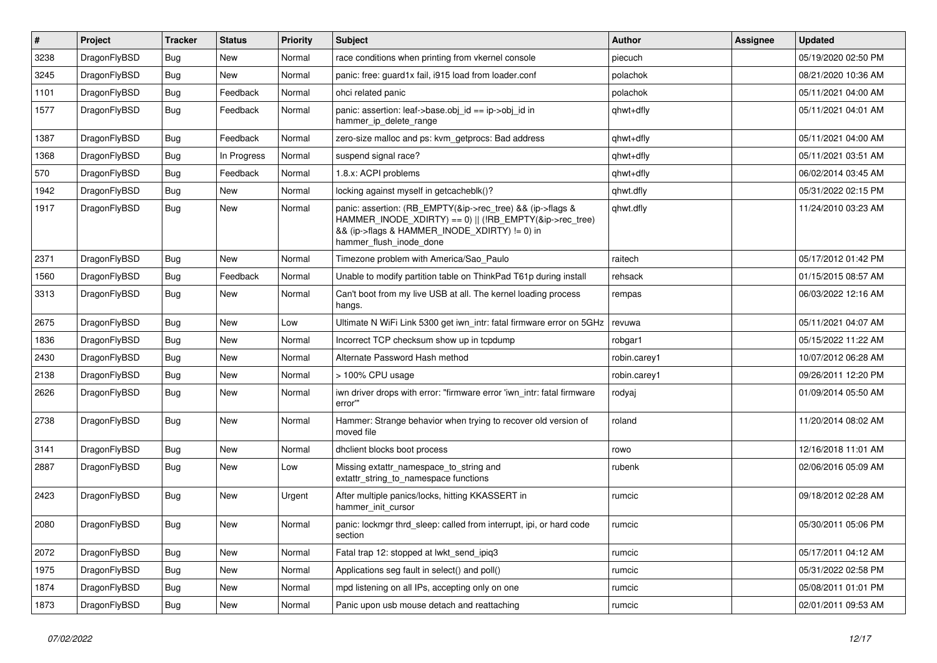| $\vert$ # | Project      | <b>Tracker</b> | <b>Status</b> | <b>Priority</b> | <b>Subject</b>                                                                                                                                                                                    | <b>Author</b> | Assignee | <b>Updated</b>      |
|-----------|--------------|----------------|---------------|-----------------|---------------------------------------------------------------------------------------------------------------------------------------------------------------------------------------------------|---------------|----------|---------------------|
| 3238      | DragonFlyBSD | <b>Bug</b>     | <b>New</b>    | Normal          | race conditions when printing from vkernel console                                                                                                                                                | piecuch       |          | 05/19/2020 02:50 PM |
| 3245      | DragonFlyBSD | Bug            | <b>New</b>    | Normal          | panic: free: guard1x fail, i915 load from loader.conf                                                                                                                                             | polachok      |          | 08/21/2020 10:36 AM |
| 1101      | DragonFlyBSD | <b>Bug</b>     | Feedback      | Normal          | ohci related panic                                                                                                                                                                                | polachok      |          | 05/11/2021 04:00 AM |
| 1577      | DragonFlyBSD | <b>Bug</b>     | Feedback      | Normal          | panic: assertion: $leaf$ - $base$ .obj $id == ip$ - $\geq$ obj $id$ in<br>hammer ip delete range                                                                                                  | qhwt+dfly     |          | 05/11/2021 04:01 AM |
| 1387      | DragonFlyBSD | Bug            | Feedback      | Normal          | zero-size malloc and ps: kvm getprocs: Bad address                                                                                                                                                | qhwt+dfly     |          | 05/11/2021 04:00 AM |
| 1368      | DragonFlyBSD | Bug            | In Progress   | Normal          | suspend signal race?                                                                                                                                                                              | qhwt+dfly     |          | 05/11/2021 03:51 AM |
| 570       | DragonFlyBSD | <b>Bug</b>     | Feedback      | Normal          | 1.8.x: ACPI problems                                                                                                                                                                              | qhwt+dfly     |          | 06/02/2014 03:45 AM |
| 1942      | DragonFlyBSD | <b>Bug</b>     | <b>New</b>    | Normal          | locking against myself in getcacheblk()?                                                                                                                                                          | qhwt.dfly     |          | 05/31/2022 02:15 PM |
| 1917      | DragonFlyBSD | <b>Bug</b>     | <b>New</b>    | Normal          | panic: assertion: (RB_EMPTY(&ip->rec_tree) && (ip->flags &<br>HAMMER INODE XDIRTY) == 0)    (!RB EMPTY(&ip->rec tree)<br>&& (ip->flags & HAMMER_INODE_XDIRTY) != 0) in<br>hammer_flush_inode_done | qhwt.dfly     |          | 11/24/2010 03:23 AM |
| 2371      | DragonFlyBSD | <b>Bug</b>     | <b>New</b>    | Normal          | Timezone problem with America/Sao Paulo                                                                                                                                                           | raitech       |          | 05/17/2012 01:42 PM |
| 1560      | DragonFlyBSD | <b>Bug</b>     | Feedback      | Normal          | Unable to modify partition table on ThinkPad T61p during install                                                                                                                                  | rehsack       |          | 01/15/2015 08:57 AM |
| 3313      | DragonFlyBSD | Bug            | New           | Normal          | Can't boot from my live USB at all. The kernel loading process<br>hangs.                                                                                                                          | rempas        |          | 06/03/2022 12:16 AM |
| 2675      | DragonFlyBSD | Bug            | New           | Low             | Ultimate N WiFi Link 5300 get iwn intr: fatal firmware error on 5GHz                                                                                                                              | revuwa        |          | 05/11/2021 04:07 AM |
| 1836      | DragonFlyBSD | Bug            | New           | Normal          | Incorrect TCP checksum show up in tcpdump                                                                                                                                                         | robgar1       |          | 05/15/2022 11:22 AM |
| 2430      | DragonFlyBSD | <b>Bug</b>     | <b>New</b>    | Normal          | Alternate Password Hash method                                                                                                                                                                    | robin.carey1  |          | 10/07/2012 06:28 AM |
| 2138      | DragonFlyBSD | <b>Bug</b>     | <b>New</b>    | Normal          | > 100% CPU usage                                                                                                                                                                                  | robin.carey1  |          | 09/26/2011 12:20 PM |
| 2626      | DragonFlyBSD | <b>Bug</b>     | New           | Normal          | iwn driver drops with error: "firmware error 'iwn intr: fatal firmware<br>error""                                                                                                                 | rodyaj        |          | 01/09/2014 05:50 AM |
| 2738      | DragonFlyBSD | <b>Bug</b>     | New           | Normal          | Hammer: Strange behavior when trying to recover old version of<br>moved file                                                                                                                      | roland        |          | 11/20/2014 08:02 AM |
| 3141      | DragonFlyBSD | Bug            | <b>New</b>    | Normal          | dhclient blocks boot process                                                                                                                                                                      | rowo          |          | 12/16/2018 11:01 AM |
| 2887      | DragonFlyBSD | Bug            | <b>New</b>    | Low             | Missing extattr_namespace_to_string and<br>extattr string to namespace functions                                                                                                                  | rubenk        |          | 02/06/2016 05:09 AM |
| 2423      | DragonFlyBSD | Bug            | New           | Urgent          | After multiple panics/locks, hitting KKASSERT in<br>hammer init cursor                                                                                                                            | rumcic        |          | 09/18/2012 02:28 AM |
| 2080      | DragonFlyBSD | Bug            | New           | Normal          | panic: lockmgr thrd sleep: called from interrupt, ipi, or hard code<br>section                                                                                                                    | rumcic        |          | 05/30/2011 05:06 PM |
| 2072      | DragonFlyBSD | Bug            | <b>New</b>    | Normal          | Fatal trap 12: stopped at lwkt_send_ipiq3                                                                                                                                                         | rumcic        |          | 05/17/2011 04:12 AM |
| 1975      | DragonFlyBSD | Bug            | New           | Normal          | Applications seg fault in select() and poll()                                                                                                                                                     | rumcic        |          | 05/31/2022 02:58 PM |
| 1874      | DragonFlyBSD | <b>Bug</b>     | <b>New</b>    | Normal          | mpd listening on all IPs, accepting only on one                                                                                                                                                   | rumcic        |          | 05/08/2011 01:01 PM |
| 1873      | DragonFlyBSD | <b>Bug</b>     | New           | Normal          | Panic upon usb mouse detach and reattaching                                                                                                                                                       | rumcic        |          | 02/01/2011 09:53 AM |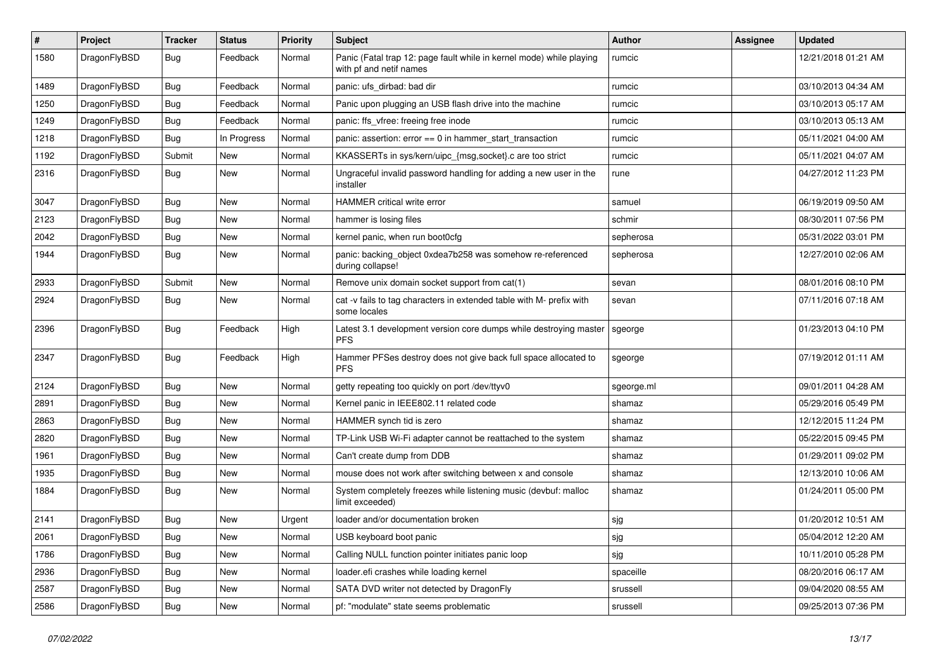| #    | Project      | <b>Tracker</b> | <b>Status</b> | <b>Priority</b> | <b>Subject</b>                                                                                  | Author     | Assignee | <b>Updated</b>      |
|------|--------------|----------------|---------------|-----------------|-------------------------------------------------------------------------------------------------|------------|----------|---------------------|
| 1580 | DragonFlyBSD | Bug            | Feedback      | Normal          | Panic (Fatal trap 12: page fault while in kernel mode) while playing<br>with pf and netif names | rumcic     |          | 12/21/2018 01:21 AM |
| 1489 | DragonFlyBSD | <b>Bug</b>     | Feedback      | Normal          | panic: ufs dirbad: bad dir                                                                      | rumcic     |          | 03/10/2013 04:34 AM |
| 1250 | DragonFlyBSD | Bug            | Feedback      | Normal          | Panic upon plugging an USB flash drive into the machine                                         | rumcic     |          | 03/10/2013 05:17 AM |
| 1249 | DragonFlyBSD | <b>Bug</b>     | Feedback      | Normal          | panic: ffs_vfree: freeing free inode                                                            | rumcic     |          | 03/10/2013 05:13 AM |
| 1218 | DragonFlyBSD | <b>Bug</b>     | In Progress   | Normal          | panic: assertion: $error == 0$ in hammer start transaction                                      | rumcic     |          | 05/11/2021 04:00 AM |
| 1192 | DragonFlyBSD | Submit         | <b>New</b>    | Normal          | KKASSERTs in sys/kern/uipc_{msg,socket}.c are too strict                                        | rumcic     |          | 05/11/2021 04:07 AM |
| 2316 | DragonFlyBSD | Bug            | New           | Normal          | Ungraceful invalid password handling for adding a new user in the<br>installer                  | rune       |          | 04/27/2012 11:23 PM |
| 3047 | DragonFlyBSD | <b>Bug</b>     | <b>New</b>    | Normal          | HAMMER critical write error                                                                     | samuel     |          | 06/19/2019 09:50 AM |
| 2123 | DragonFlyBSD | <b>Bug</b>     | New           | Normal          | hammer is losing files                                                                          | schmir     |          | 08/30/2011 07:56 PM |
| 2042 | DragonFlyBSD | Bug            | New           | Normal          | kernel panic, when run boot0cfg                                                                 | sepherosa  |          | 05/31/2022 03:01 PM |
| 1944 | DragonFlyBSD | Bug            | <b>New</b>    | Normal          | panic: backing_object 0xdea7b258 was somehow re-referenced<br>during collapse!                  | sepherosa  |          | 12/27/2010 02:06 AM |
| 2933 | DragonFlyBSD | Submit         | <b>New</b>    | Normal          | Remove unix domain socket support from cat(1)                                                   | sevan      |          | 08/01/2016 08:10 PM |
| 2924 | DragonFlyBSD | Bug            | New           | Normal          | cat -v fails to tag characters in extended table with M- prefix with<br>some locales            | sevan      |          | 07/11/2016 07:18 AM |
| 2396 | DragonFlyBSD | Bug            | Feedback      | High            | Latest 3.1 development version core dumps while destroying master<br><b>PFS</b>                 | sgeorge    |          | 01/23/2013 04:10 PM |
| 2347 | DragonFlyBSD | <b>Bug</b>     | Feedback      | High            | Hammer PFSes destroy does not give back full space allocated to<br><b>PFS</b>                   | sgeorge    |          | 07/19/2012 01:11 AM |
| 2124 | DragonFlyBSD | Bug            | <b>New</b>    | Normal          | getty repeating too quickly on port /dev/ttyv0                                                  | sgeorge.ml |          | 09/01/2011 04:28 AM |
| 2891 | DragonFlyBSD | Bug            | New           | Normal          | Kernel panic in IEEE802.11 related code                                                         | shamaz     |          | 05/29/2016 05:49 PM |
| 2863 | DragonFlyBSD | Bug            | New           | Normal          | HAMMER synch tid is zero                                                                        | shamaz     |          | 12/12/2015 11:24 PM |
| 2820 | DragonFlyBSD | <b>Bug</b>     | New           | Normal          | TP-Link USB Wi-Fi adapter cannot be reattached to the system                                    | shamaz     |          | 05/22/2015 09:45 PM |
| 1961 | DragonFlyBSD | <b>Bug</b>     | New           | Normal          | Can't create dump from DDB                                                                      | shamaz     |          | 01/29/2011 09:02 PM |
| 1935 | DragonFlyBSD | <b>Bug</b>     | New           | Normal          | mouse does not work after switching between x and console                                       | shamaz     |          | 12/13/2010 10:06 AM |
| 1884 | DragonFlyBSD | Bug            | New           | Normal          | System completely freezes while listening music (devbuf: malloc<br>limit exceeded)              | shamaz     |          | 01/24/2011 05:00 PM |
| 2141 | DragonFlyBSD | <b>Bug</b>     | New           | Urgent          | loader and/or documentation broken                                                              | sjg        |          | 01/20/2012 10:51 AM |
| 2061 | DragonFlyBSD | Bug            | New           | Normal          | USB keyboard boot panic                                                                         | sjg        |          | 05/04/2012 12:20 AM |
| 1786 | DragonFlyBSD | <b>Bug</b>     | New           | Normal          | Calling NULL function pointer initiates panic loop                                              | sjg        |          | 10/11/2010 05:28 PM |
| 2936 | DragonFlyBSD | <b>Bug</b>     | New           | Normal          | loader.efi crashes while loading kernel                                                         | spaceille  |          | 08/20/2016 06:17 AM |
| 2587 | DragonFlyBSD | <b>Bug</b>     | New           | Normal          | SATA DVD writer not detected by DragonFly                                                       | srussell   |          | 09/04/2020 08:55 AM |
| 2586 | DragonFlyBSD | <b>Bug</b>     | New           | Normal          | pf: "modulate" state seems problematic                                                          | srussell   |          | 09/25/2013 07:36 PM |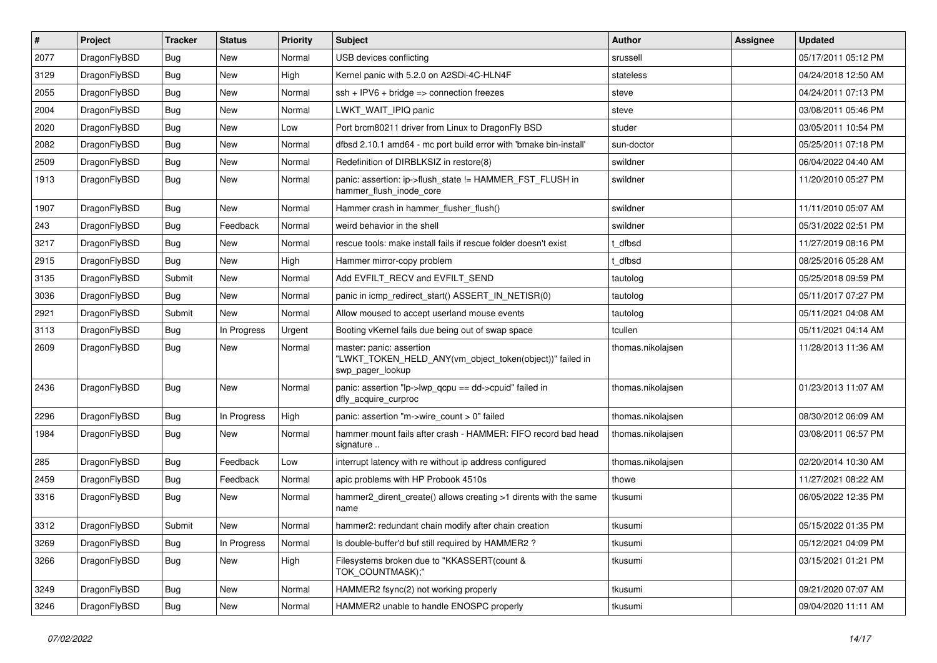| $\sharp$ | Project      | <b>Tracker</b> | <b>Status</b> | <b>Priority</b> | Subject                                                                                                  | <b>Author</b>     | Assignee | <b>Updated</b>      |
|----------|--------------|----------------|---------------|-----------------|----------------------------------------------------------------------------------------------------------|-------------------|----------|---------------------|
| 2077     | DragonFlyBSD | <b>Bug</b>     | New           | Normal          | USB devices conflicting                                                                                  | srussell          |          | 05/17/2011 05:12 PM |
| 3129     | DragonFlyBSD | Bug            | New           | High            | Kernel panic with 5.2.0 on A2SDi-4C-HLN4F                                                                | stateless         |          | 04/24/2018 12:50 AM |
| 2055     | DragonFlyBSD | <b>Bug</b>     | <b>New</b>    | Normal          | $ssh + IPV6 + bridge \Rightarrow connection freezes$                                                     | steve             |          | 04/24/2011 07:13 PM |
| 2004     | DragonFlyBSD | <b>Bug</b>     | New           | Normal          | LWKT_WAIT_IPIQ panic                                                                                     | steve             |          | 03/08/2011 05:46 PM |
| 2020     | DragonFlyBSD | Bug            | <b>New</b>    | Low             | Port brcm80211 driver from Linux to DragonFly BSD                                                        | studer            |          | 03/05/2011 10:54 PM |
| 2082     | DragonFlyBSD | <b>Bug</b>     | <b>New</b>    | Normal          | dfbsd 2.10.1 amd64 - mc port build error with 'bmake bin-install'                                        | sun-doctor        |          | 05/25/2011 07:18 PM |
| 2509     | DragonFlyBSD | Bug            | New           | Normal          | Redefinition of DIRBLKSIZ in restore(8)                                                                  | swildner          |          | 06/04/2022 04:40 AM |
| 1913     | DragonFlyBSD | <b>Bug</b>     | <b>New</b>    | Normal          | panic: assertion: ip->flush_state != HAMMER_FST_FLUSH in<br>hammer_flush_inode_core                      | swildner          |          | 11/20/2010 05:27 PM |
| 1907     | DragonFlyBSD | Bug            | <b>New</b>    | Normal          | Hammer crash in hammer_flusher_flush()                                                                   | swildner          |          | 11/11/2010 05:07 AM |
| 243      | DragonFlyBSD | <b>Bug</b>     | Feedback      | Normal          | weird behavior in the shell                                                                              | swildner          |          | 05/31/2022 02:51 PM |
| 3217     | DragonFlyBSD | <b>Bug</b>     | New           | Normal          | rescue tools: make install fails if rescue folder doesn't exist                                          | t dfbsd           |          | 11/27/2019 08:16 PM |
| 2915     | DragonFlyBSD | Bug            | <b>New</b>    | High            | Hammer mirror-copy problem                                                                               | t dfbsd           |          | 08/25/2016 05:28 AM |
| 3135     | DragonFlyBSD | Submit         | New           | Normal          | Add EVFILT_RECV and EVFILT_SEND                                                                          | tautolog          |          | 05/25/2018 09:59 PM |
| 3036     | DragonFlyBSD | Bug            | New           | Normal          | panic in icmp redirect start() ASSERT IN NETISR(0)                                                       | tautolog          |          | 05/11/2017 07:27 PM |
| 2921     | DragonFlyBSD | Submit         | <b>New</b>    | Normal          | Allow moused to accept userland mouse events                                                             | tautolog          |          | 05/11/2021 04:08 AM |
| 3113     | DragonFlyBSD | <b>Bug</b>     | In Progress   | Urgent          | Booting vKernel fails due being out of swap space                                                        | tcullen           |          | 05/11/2021 04:14 AM |
| 2609     | DragonFlyBSD | Bug            | New           | Normal          | master: panic: assertion<br>"LWKT_TOKEN_HELD_ANY(vm_object_token(object))" failed in<br>swp_pager_lookup | thomas.nikolajsen |          | 11/28/2013 11:36 AM |
| 2436     | DragonFlyBSD | <b>Bug</b>     | <b>New</b>    | Normal          | panic: assertion "lp->lwp_qcpu == dd->cpuid" failed in<br>dfly_acquire_curproc                           | thomas.nikolajsen |          | 01/23/2013 11:07 AM |
| 2296     | DragonFlyBSD | Bug            | In Progress   | High            | panic: assertion "m->wire_count > 0" failed                                                              | thomas.nikolajsen |          | 08/30/2012 06:09 AM |
| 1984     | DragonFlyBSD | Bug            | <b>New</b>    | Normal          | hammer mount fails after crash - HAMMER: FIFO record bad head<br>signature                               | thomas.nikolajsen |          | 03/08/2011 06:57 PM |
| 285      | DragonFlyBSD | Bug            | Feedback      | Low             | interrupt latency with re without ip address configured                                                  | thomas.nikolajsen |          | 02/20/2014 10:30 AM |
| 2459     | DragonFlyBSD | <b>Bug</b>     | Feedback      | Normal          | apic problems with HP Probook 4510s                                                                      | thowe             |          | 11/27/2021 08:22 AM |
| 3316     | DragonFlyBSD | <b>Bug</b>     | <b>New</b>    | Normal          | hammer2_dirent_create() allows creating >1 dirents with the same<br>name                                 | tkusumi           |          | 06/05/2022 12:35 PM |
| 3312     | DragonFlyBSD | Submit         | <b>New</b>    | Normal          | hammer2: redundant chain modify after chain creation                                                     | tkusumi           |          | 05/15/2022 01:35 PM |
| 3269     | DragonFlyBSD | Bug            | In Progress   | Normal          | Is double-buffer'd buf still required by HAMMER2 ?                                                       | tkusumi           |          | 05/12/2021 04:09 PM |
| 3266     | DragonFlyBSD | <b>Bug</b>     | New           | High            | Filesystems broken due to "KKASSERT(count &<br>TOK_COUNTMASK);"                                          | tkusumi           |          | 03/15/2021 01:21 PM |
| 3249     | DragonFlyBSD | <b>Bug</b>     | New           | Normal          | HAMMER2 fsync(2) not working properly                                                                    | tkusumi           |          | 09/21/2020 07:07 AM |
| 3246     | DragonFlyBSD | <b>Bug</b>     | New           | Normal          | HAMMER2 unable to handle ENOSPC properly                                                                 | tkusumi           |          | 09/04/2020 11:11 AM |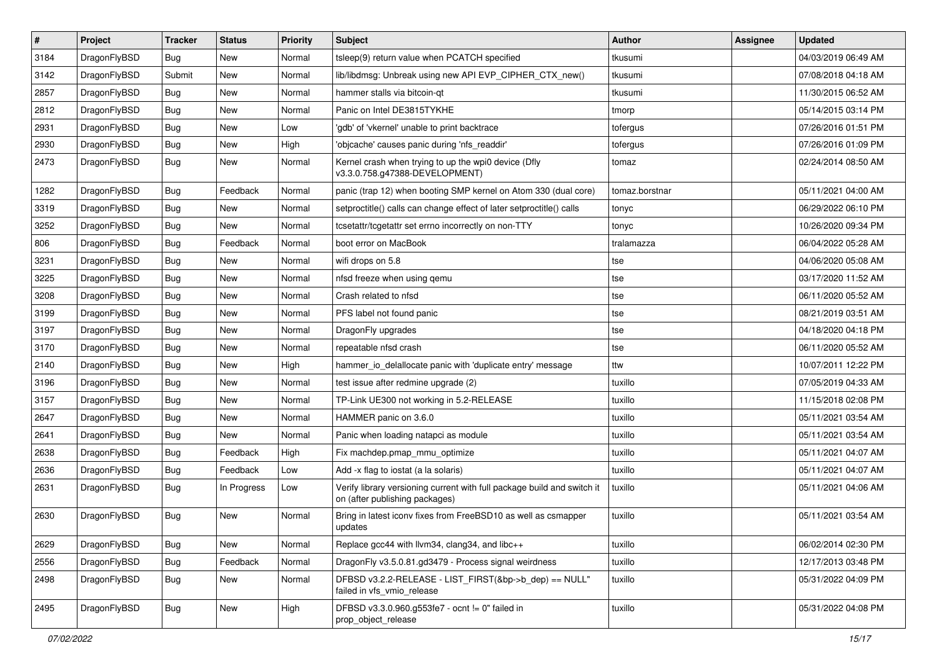| #    | Project      | <b>Tracker</b> | <b>Status</b> | <b>Priority</b> | Subject                                                                                                   | <b>Author</b>  | <b>Assignee</b> | <b>Updated</b>      |
|------|--------------|----------------|---------------|-----------------|-----------------------------------------------------------------------------------------------------------|----------------|-----------------|---------------------|
| 3184 | DragonFlyBSD | Bug            | New           | Normal          | tsleep(9) return value when PCATCH specified                                                              | tkusumi        |                 | 04/03/2019 06:49 AM |
| 3142 | DragonFlyBSD | Submit         | <b>New</b>    | Normal          | lib/libdmsg: Unbreak using new API EVP_CIPHER_CTX_new()                                                   | tkusumi        |                 | 07/08/2018 04:18 AM |
| 2857 | DragonFlyBSD | Bug            | New           | Normal          | hammer stalls via bitcoin-qt                                                                              | tkusumi        |                 | 11/30/2015 06:52 AM |
| 2812 | DragonFlyBSD | <b>Bug</b>     | New           | Normal          | Panic on Intel DE3815TYKHE                                                                                | tmorp          |                 | 05/14/2015 03:14 PM |
| 2931 | DragonFlyBSD | Bug            | <b>New</b>    | Low             | 'gdb' of 'vkernel' unable to print backtrace                                                              | tofergus       |                 | 07/26/2016 01:51 PM |
| 2930 | DragonFlyBSD | <b>Bug</b>     | New           | High            | 'objcache' causes panic during 'nfs_readdir'                                                              | tofergus       |                 | 07/26/2016 01:09 PM |
| 2473 | DragonFlyBSD | <b>Bug</b>     | <b>New</b>    | Normal          | Kernel crash when trying to up the wpi0 device (Dfly<br>v3.3.0.758.g47388-DEVELOPMENT)                    | tomaz          |                 | 02/24/2014 08:50 AM |
| 1282 | DragonFlyBSD | Bug            | Feedback      | Normal          | panic (trap 12) when booting SMP kernel on Atom 330 (dual core)                                           | tomaz.borstnar |                 | 05/11/2021 04:00 AM |
| 3319 | DragonFlyBSD | Bug            | New           | Normal          | setproctitle() calls can change effect of later setproctitle() calls                                      | tonyc          |                 | 06/29/2022 06:10 PM |
| 3252 | DragonFlyBSD | <b>Bug</b>     | New           | Normal          | tcsetattr/tcgetattr set errno incorrectly on non-TTY                                                      | tonyc          |                 | 10/26/2020 09:34 PM |
| 806  | DragonFlyBSD | <b>Bug</b>     | Feedback      | Normal          | boot error on MacBook                                                                                     | tralamazza     |                 | 06/04/2022 05:28 AM |
| 3231 | DragonFlyBSD | Bug            | New           | Normal          | wifi drops on 5.8                                                                                         | tse            |                 | 04/06/2020 05:08 AM |
| 3225 | DragonFlyBSD | <b>Bug</b>     | New           | Normal          | nfsd freeze when using qemu                                                                               | tse            |                 | 03/17/2020 11:52 AM |
| 3208 | DragonFlyBSD | <b>Bug</b>     | New           | Normal          | Crash related to nfsd                                                                                     | tse            |                 | 06/11/2020 05:52 AM |
| 3199 | DragonFlyBSD | <b>Bug</b>     | <b>New</b>    | Normal          | PFS label not found panic                                                                                 | tse            |                 | 08/21/2019 03:51 AM |
| 3197 | DragonFlyBSD | <b>Bug</b>     | New           | Normal          | DragonFly upgrades                                                                                        | tse            |                 | 04/18/2020 04:18 PM |
| 3170 | DragonFlyBSD | Bug            | New           | Normal          | repeatable nfsd crash                                                                                     | tse            |                 | 06/11/2020 05:52 AM |
| 2140 | DragonFlyBSD | <b>Bug</b>     | New           | High            | hammer io delallocate panic with 'duplicate entry' message                                                | ttw            |                 | 10/07/2011 12:22 PM |
| 3196 | DragonFlyBSD | <b>Bug</b>     | <b>New</b>    | Normal          | test issue after redmine upgrade (2)                                                                      | tuxillo        |                 | 07/05/2019 04:33 AM |
| 3157 | DragonFlyBSD | <b>Bug</b>     | New           | Normal          | TP-Link UE300 not working in 5.2-RELEASE                                                                  | tuxillo        |                 | 11/15/2018 02:08 PM |
| 2647 | DragonFlyBSD | <b>Bug</b>     | <b>New</b>    | Normal          | HAMMER panic on 3.6.0                                                                                     | tuxillo        |                 | 05/11/2021 03:54 AM |
| 2641 | DragonFlyBSD | <b>Bug</b>     | New           | Normal          | Panic when loading natapci as module                                                                      | tuxillo        |                 | 05/11/2021 03:54 AM |
| 2638 | DragonFlyBSD | <b>Bug</b>     | Feedback      | High            | Fix machdep.pmap_mmu_optimize                                                                             | tuxillo        |                 | 05/11/2021 04:07 AM |
| 2636 | DragonFlyBSD | <b>Bug</b>     | Feedback      | Low             | Add -x flag to iostat (a la solaris)                                                                      | tuxillo        |                 | 05/11/2021 04:07 AM |
| 2631 | DragonFlyBSD | Bug            | In Progress   | Low             | Verify library versioning current with full package build and switch it<br>on (after publishing packages) | tuxillo        |                 | 05/11/2021 04:06 AM |
| 2630 | DragonFlyBSD | Bug            | New           | Normal          | Bring in latest iconv fixes from FreeBSD10 as well as csmapper<br>updates                                 | tuxillo        |                 | 05/11/2021 03:54 AM |
| 2629 | DragonFlyBSD | Bug            | New           | Normal          | Replace gcc44 with llvm34, clang34, and libc++                                                            | tuxillo        |                 | 06/02/2014 02:30 PM |
| 2556 | DragonFlyBSD | <b>Bug</b>     | Feedback      | Normal          | DragonFly v3.5.0.81.gd3479 - Process signal weirdness                                                     | tuxillo        |                 | 12/17/2013 03:48 PM |
| 2498 | DragonFlyBSD | <b>Bug</b>     | New           | Normal          | DFBSD v3.2.2-RELEASE - LIST FIRST(&bp->b dep) == NULL"<br>failed in vfs_vmio_release                      | tuxillo        |                 | 05/31/2022 04:09 PM |
| 2495 | DragonFlyBSD | <b>Bug</b>     | New           | High            | DFBSD v3.3.0.960.g553fe7 - ocnt != 0" failed in<br>prop_object_release                                    | tuxillo        |                 | 05/31/2022 04:08 PM |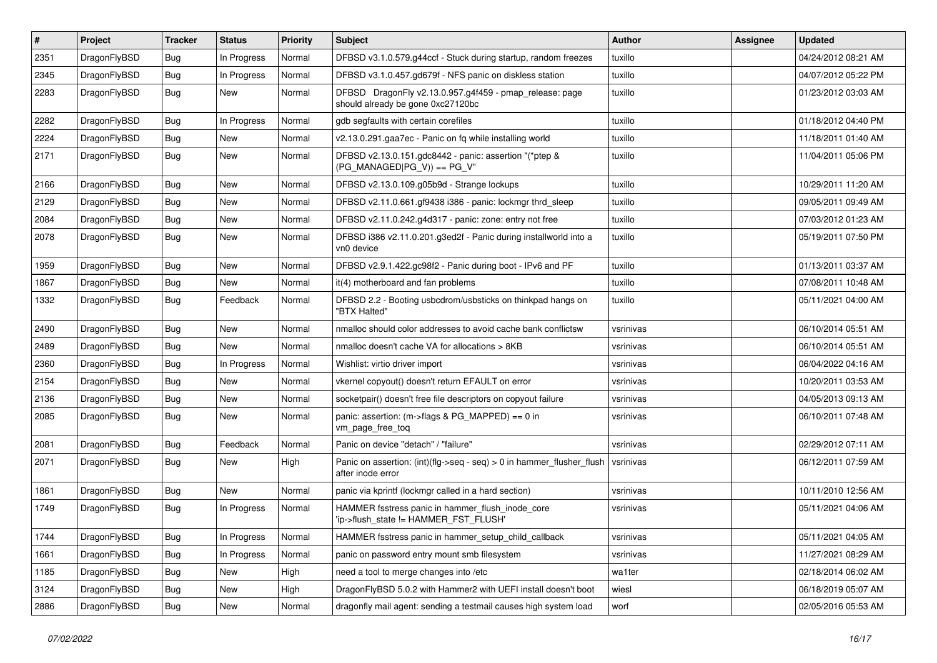| $\vert$ # | Project      | <b>Tracker</b> | <b>Status</b> | <b>Priority</b> | Subject                                                                                      | <b>Author</b> | Assignee | <b>Updated</b>      |
|-----------|--------------|----------------|---------------|-----------------|----------------------------------------------------------------------------------------------|---------------|----------|---------------------|
| 2351      | DragonFlyBSD | Bug            | In Progress   | Normal          | DFBSD v3.1.0.579.g44ccf - Stuck during startup, random freezes                               | tuxillo       |          | 04/24/2012 08:21 AM |
| 2345      | DragonFlyBSD | Bug            | In Progress   | Normal          | DFBSD v3.1.0.457.gd679f - NFS panic on diskless station                                      | tuxillo       |          | 04/07/2012 05:22 PM |
| 2283      | DragonFlyBSD | <b>Bug</b>     | New           | Normal          | DFBSD DragonFly v2.13.0.957.g4f459 - pmap_release: page<br>should already be gone 0xc27120bc | tuxillo       |          | 01/23/2012 03:03 AM |
| 2282      | DragonFlyBSD | Bug            | In Progress   | Normal          | gdb segfaults with certain corefiles                                                         | tuxillo       |          | 01/18/2012 04:40 PM |
| 2224      | DragonFlyBSD | <b>Bug</b>     | New           | Normal          | v2.13.0.291.gaa7ec - Panic on fq while installing world                                      | tuxillo       |          | 11/18/2011 01:40 AM |
| 2171      | DragonFlyBSD | <b>Bug</b>     | New           | Normal          | DFBSD v2.13.0.151.gdc8442 - panic: assertion "(*ptep &<br>$(PG_MANAGED PG_V)) == PG_V"$      | tuxillo       |          | 11/04/2011 05:06 PM |
| 2166      | DragonFlyBSD | Bug            | <b>New</b>    | Normal          | DFBSD v2.13.0.109.g05b9d - Strange lockups                                                   | tuxillo       |          | 10/29/2011 11:20 AM |
| 2129      | DragonFlyBSD | Bug            | New           | Normal          | DFBSD v2.11.0.661.gf9438 i386 - panic: lockmgr thrd_sleep                                    | tuxillo       |          | 09/05/2011 09:49 AM |
| 2084      | DragonFlyBSD | <b>Bug</b>     | New           | Normal          | DFBSD v2.11.0.242.g4d317 - panic: zone: entry not free                                       | tuxillo       |          | 07/03/2012 01:23 AM |
| 2078      | DragonFlyBSD | Bug            | New           | Normal          | DFBSD i386 v2.11.0.201.g3ed2f - Panic during installworld into a<br>vn0 device               | tuxillo       |          | 05/19/2011 07:50 PM |
| 1959      | DragonFlyBSD | Bug            | New           | Normal          | DFBSD v2.9.1.422.gc98f2 - Panic during boot - IPv6 and PF                                    | tuxillo       |          | 01/13/2011 03:37 AM |
| 1867      | DragonFlyBSD | <b>Bug</b>     | New           | Normal          | it(4) motherboard and fan problems                                                           | tuxillo       |          | 07/08/2011 10:48 AM |
| 1332      | DragonFlyBSD | Bug            | Feedback      | Normal          | DFBSD 2.2 - Booting usbcdrom/usbsticks on thinkpad hangs on<br>"BTX Halted"                  | tuxillo       |          | 05/11/2021 04:00 AM |
| 2490      | DragonFlyBSD | Bug            | New           | Normal          | nmalloc should color addresses to avoid cache bank conflictsw                                | vsrinivas     |          | 06/10/2014 05:51 AM |
| 2489      | DragonFlyBSD | <b>Bug</b>     | New           | Normal          | nmalloc doesn't cache VA for allocations > 8KB                                               | vsrinivas     |          | 06/10/2014 05:51 AM |
| 2360      | DragonFlyBSD | <b>Bug</b>     | In Progress   | Normal          | Wishlist: virtio driver import                                                               | vsrinivas     |          | 06/04/2022 04:16 AM |
| 2154      | DragonFlyBSD | Bug            | <b>New</b>    | Normal          | vkernel copyout() doesn't return EFAULT on error                                             | vsrinivas     |          | 10/20/2011 03:53 AM |
| 2136      | DragonFlyBSD | <b>Bug</b>     | New           | Normal          | socketpair() doesn't free file descriptors on copyout failure                                | vsrinivas     |          | 04/05/2013 09:13 AM |
| 2085      | DragonFlyBSD | <b>Bug</b>     | New           | Normal          | panic: assertion: (m->flags & PG_MAPPED) == 0 in<br>vm_page_free_toq                         | vsrinivas     |          | 06/10/2011 07:48 AM |
| 2081      | DragonFlyBSD | Bug            | Feedback      | Normal          | Panic on device "detach" / "failure"                                                         | vsrinivas     |          | 02/29/2012 07:11 AM |
| 2071      | DragonFlyBSD | Bug            | New           | High            | Panic on assertion: (int)(flg->seq - seq) > 0 in hammer_flusher_flush<br>after inode error   | vsrinivas     |          | 06/12/2011 07:59 AM |
| 1861      | DragonFlyBSD | Bug            | New           | Normal          | panic via kprintf (lockmgr called in a hard section)                                         | vsrinivas     |          | 10/11/2010 12:56 AM |
| 1749      | DragonFlyBSD | Bug            | In Progress   | Normal          | HAMMER fsstress panic in hammer_flush_inode_core<br>'ip->flush state != HAMMER FST FLUSH'    | vsrinivas     |          | 05/11/2021 04:06 AM |
| 1744      | DragonFlyBSD | <b>Bug</b>     | In Progress   | Normal          | HAMMER fsstress panic in hammer_setup_child_callback                                         | vsrinivas     |          | 05/11/2021 04:05 AM |
| 1661      | DragonFlyBSD | <b>Bug</b>     | In Progress   | Normal          | panic on password entry mount smb filesystem                                                 | vsrinivas     |          | 11/27/2021 08:29 AM |
| 1185      | DragonFlyBSD | <b>Bug</b>     | <b>New</b>    | High            | need a tool to merge changes into /etc                                                       | wa1ter        |          | 02/18/2014 06:02 AM |
| 3124      | DragonFlyBSD | <b>Bug</b>     | <b>New</b>    | High            | DragonFlyBSD 5.0.2 with Hammer2 with UEFI install doesn't boot                               | wiesl         |          | 06/18/2019 05:07 AM |
| 2886      | DragonFlyBSD | <b>Bug</b>     | New           | Normal          | dragonfly mail agent: sending a testmail causes high system load                             | worf          |          | 02/05/2016 05:53 AM |